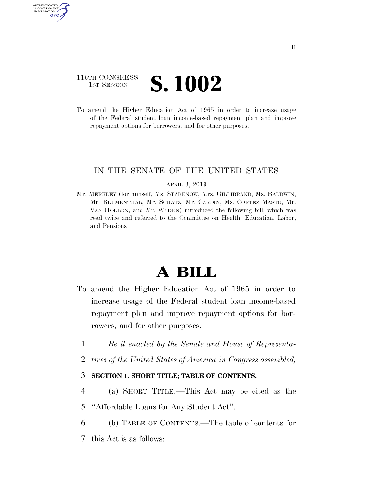# 116TH CONGRESS **1ST SESSION S. 1002**

AUTHENTICATED U.S. GOVERNMENT GPO

> To amend the Higher Education Act of 1965 in order to increase usage of the Federal student loan income-based repayment plan and improve repayment options for borrowers, and for other purposes.

# IN THE SENATE OF THE UNITED STATES

#### APRIL 3, 2019

Mr. MERKLEY (for himself, Ms. STABENOW, Mrs. GILLIBRAND, Ms. BALDWIN, Mr. BLUMENTHAL, Mr. SCHATZ, Mr. CARDIN, Ms. CORTEZ MASTO, Mr. VAN HOLLEN, and Mr. WYDEN) introduced the following bill; which was read twice and referred to the Committee on Health, Education, Labor, and Pensions

# **A BILL**

- To amend the Higher Education Act of 1965 in order to increase usage of the Federal student loan income-based repayment plan and improve repayment options for borrowers, and for other purposes.
	- 1 *Be it enacted by the Senate and House of Representa-*
	- 2 *tives of the United States of America in Congress assembled,*

# 3 **SECTION 1. SHORT TITLE; TABLE OF CONTENTS.**

- 4 (a) SHORT TITLE.—This Act may be cited as the
- 5 ''Affordable Loans for Any Student Act''.
- 6 (b) TABLE OF CONTENTS.—The table of contents for
- 7 this Act is as follows: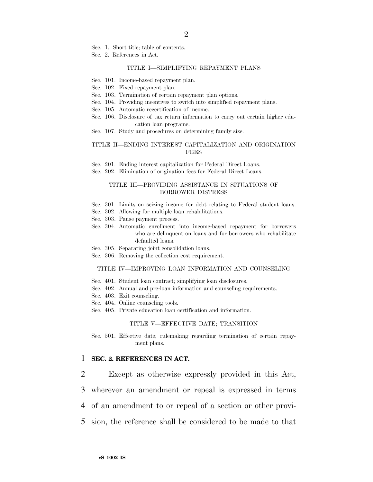Sec. 1. Short title; table of contents.

Sec. 2. References in Act.

#### TITLE I—SIMPLIFYING REPAYMENT PLANS

- Sec. 101. Income-based repayment plan.
- Sec. 102. Fixed repayment plan.
- Sec. 103. Termination of certain repayment plan options.
- Sec. 104. Providing incentives to switch into simplified repayment plans.
- Sec. 105. Automatic recertification of income.
- Sec. 106. Disclosure of tax return information to carry out certain higher education loan programs.
- Sec. 107. Study and procedures on determining family size.

#### TITLE II—ENDING INTEREST CAPITALIZATION AND ORIGINATION **FEES**

Sec. 201. Ending interest capitalization for Federal Direct Loans.

Sec. 202. Elimination of origination fees for Federal Direct Loans.

#### TITLE III—PROVIDING ASSISTANCE IN SITUATIONS OF BORROWER DISTRESS

- Sec. 301. Limits on seizing income for debt relating to Federal student loans.
- Sec. 302. Allowing for multiple loan rehabilitations.
- Sec. 303. Pause payment process.
- Sec. 304. Automatic enrollment into income-based repayment for borrowers who are delinquent on loans and for borrowers who rehabilitate defaulted loans.
- Sec. 305. Separating joint consolidation loans.
- Sec. 306. Removing the collection cost requirement.

#### TITLE IV—IMPROVING LOAN INFORMATION AND COUNSELING

- Sec. 401. Student loan contract; simplifying loan disclosures.
- Sec. 402. Annual and pre-loan information and counseling requirements.
- Sec. 403. Exit counseling.
- Sec. 404. Online counseling tools.
- Sec. 405. Private education loan certification and information.

#### TITLE V—EFFECTIVE DATE; TRANSITION

Sec. 501. Effective date; rulemaking regarding termination of certain repayment plans.

#### 1 **SEC. 2. REFERENCES IN ACT.**

2 Except as otherwise expressly provided in this Act,

- 3 wherever an amendment or repeal is expressed in terms
- 4 of an amendment to or repeal of a section or other provi-
- 5 sion, the reference shall be considered to be made to that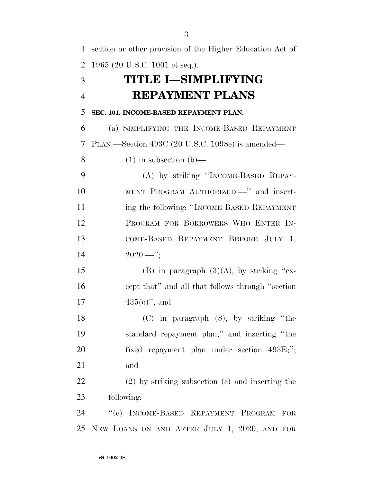| 1              | section or other provision of the Higher Education Act of |
|----------------|-----------------------------------------------------------|
| $\overline{2}$ | 1965 (20 U.S.C. 1001 et seq.).                            |
| 3              | TITLE I–SIMPLIFYING                                       |
| $\overline{4}$ | <b>REPAYMENT PLANS</b>                                    |
| 5              | SEC. 101. INCOME-BASED REPAYMENT PLAN.                    |
| 6              | (a) SIMPLIFYING THE INCOME-BASED REPAYMENT                |
| 7              | PLAN.—Section 493C (20 U.S.C. 1098e) is amended—          |
| 8              | $(1)$ in subsection $(b)$ —                               |
| 9              | (A) by striking "INCOME-BASED REPAY-                      |
| 10             | MENT PROGRAM AUTHORIZED.—" and insert-                    |
| 11             | ing the following: "INCOME-BASED REPAYMENT                |
| 12             | PROGRAM FOR BORROWERS WHO ENTER IN-                       |
| 13             | COME-BASED REPAYMENT BEFORE JULY 1,                       |
| 14             | $2020$ ";                                                 |
| 15             | (B) in paragraph $(3)(A)$ , by striking "ex-              |
| 16             | cept that" and all that follows through "section"         |
| 17             | $435(0)$ "; and                                           |
| 18             | $(C)$ in paragraph $(8)$ , by striking "the               |
| 19             | standard repayment plan;" and inserting "the              |
| 20             | fixed repayment plan under section 493E;";                |
| 21             | and                                                       |
| 22             | $(2)$ by striking subsection $(e)$ and inserting the      |
| 23             | following:                                                |
| 24             | "(c) INCOME-BASED REPAYMENT PROGRAM<br>FOR                |
| 25             | NEW LOANS ON AND AFTER JULY 1, 2020, AND FOR              |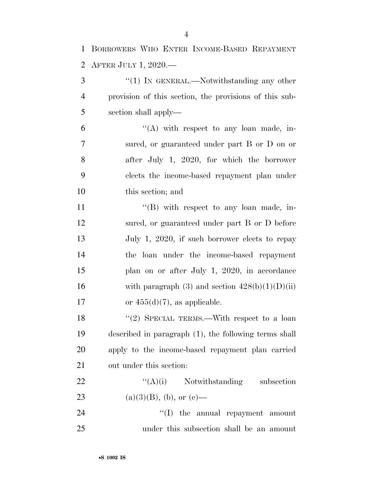| $\mathbf{1}$   | BORROWERS WHO ENTER INCOME-BASED REPAYMENT             |
|----------------|--------------------------------------------------------|
| $\overline{2}$ | AFTER JULY 1, 2020.—                                   |
| 3              | $\lq(1)$ In GENERAL.—Notwithstanding any other         |
| $\overline{4}$ | provision of this section, the provisions of this sub- |
| 5              | section shall apply—                                   |
| 6              | $\lq\lq$ with respect to any loan made, in-            |
| 7              | sured, or guaranteed under part B or D on or           |
| 8              | after July 1, 2020, for which the borrower             |
| 9              | elects the income-based repayment plan under           |
| 10             | this section; and                                      |
| 11             | $\lq\lq (B)$ with respect to any loan made, in-        |
| 12             | sured, or guaranteed under part B or D before          |
| 13             | July 1, 2020, if such borrower elects to repay         |
| 14             | the loan under the income-based repayment              |
| 15             | plan on or after July 1, 2020, in accordance           |
| 16             | with paragraph (3) and section $428(b)(1)(D)(ii)$      |
| 17             | or $455(d)(7)$ , as applicable.                        |
| 18             | "(2) SPECIAL TERMS.—With respect to a loan             |
| 19             | described in paragraph (1), the following terms shall  |
| 20             | apply to the income-based repayment plan carried       |
| 21             | out under this section:                                |
| 22             | $\lq\lq(A)(i)$ Notwithstanding subsection              |
| 23             | $(a)(3)(B)$ , (b), or (e)—                             |
| 24             | $\lq\lq$ the annual repayment amount                   |
| 25             | under this subsection shall be an amount               |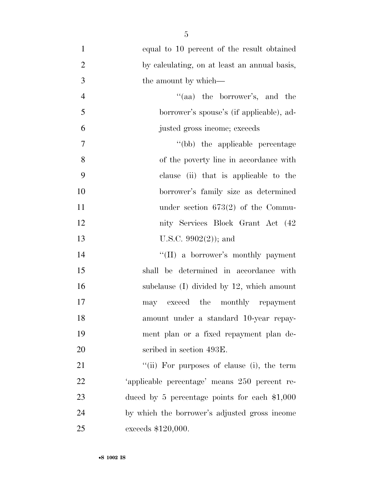| $\mathbf{1}$   | equal to 10 percent of the result obtained      |
|----------------|-------------------------------------------------|
| $\overline{2}$ | by calculating, on at least an annual basis,    |
| 3              | the amount by which—                            |
| $\overline{4}$ | "(aa) the borrower's, and the                   |
| 5              | borrower's spouse's (if applicable), ad-        |
| 6              | justed gross income; exceeds                    |
| $\tau$         | "(bb) the applicable percentage                 |
| 8              | of the poverty line in accordance with          |
| 9              | clause (ii) that is applicable to the           |
| 10             | borrower's family size as determined            |
| 11             | under section $673(2)$ of the Commu-            |
| 12             | nity Services Block Grant Act (42)              |
| 13             | U.S.C. $9902(2)$ ; and                          |
| 14             | "(II) a borrower's monthly payment              |
| 15             | shall be determined in accordance with          |
| 16             | subclause $(I)$ divided by 12, which amount     |
| 17             | may exceed the monthly repayment                |
| 18             | amount under a standard 10-year repay-          |
| 19             | ment plan or a fixed repayment plan de-         |
| 20             | scribed in section 493E.                        |
| 21             | "(ii) For purposes of clause (i), the term      |
| 22             | 'applicable percentage' means 250 percent re-   |
| 23             | duced by 5 percentage points for each $\$1,000$ |
| 24             | by which the borrower's adjusted gross income   |
| 25             | exceeds \$120,000.                              |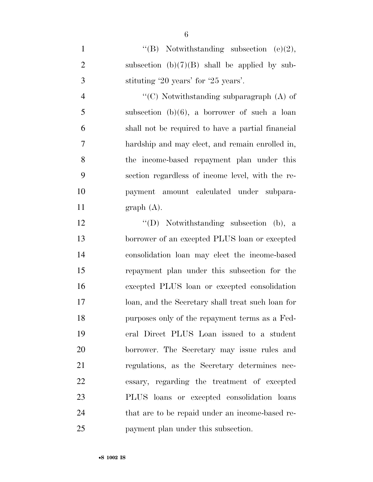1 ''(B) Notwithstanding subsection (e)(2), 2 subsection  $(b)(7)(B)$  shall be applied by sub-stituting '20 years' for '25 years'.

 ''(C) Notwithstanding subparagraph (A) of subsection (b)(6), a borrower of such a loan shall not be required to have a partial financial hardship and may elect, and remain enrolled in, the income-based repayment plan under this section regardless of income level, with the re- payment amount calculated under subpara-11 graph  $(A)$ .

 ''(D) Notwithstanding subsection (b), a borrower of an excepted PLUS loan or excepted consolidation loan may elect the income-based repayment plan under this subsection for the excepted PLUS loan or excepted consolidation loan, and the Secretary shall treat such loan for purposes only of the repayment terms as a Fed- eral Direct PLUS Loan issued to a student borrower. The Secretary may issue rules and regulations, as the Secretary determines nec- essary, regarding the treatment of excepted PLUS loans or excepted consolidation loans that are to be repaid under an income-based re-payment plan under this subsection.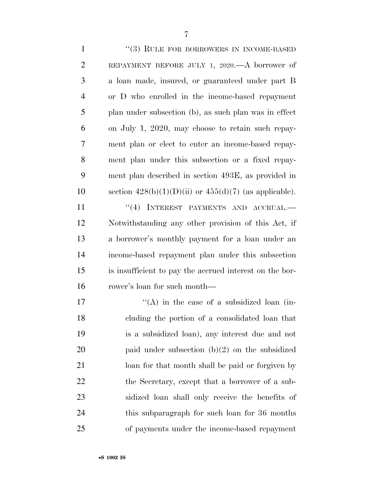1 "(3) RULE FOR BORROWERS IN INCOME-BASED REPAYMENT BEFORE JULY 1, 2020.—A borrower of a loan made, insured, or guaranteed under part B or D who enrolled in the income-based repayment plan under subsection (b), as such plan was in effect on July 1, 2020, may choose to retain such repay- ment plan or elect to enter an income-based repay- ment plan under this subsection or a fixed repay- ment plan described in section 493E, as provided in 10 section  $428(b)(1)(D)(ii)$  or  $455(d)(7)$  (as applicable). 11 ''(4) INTEREST PAYMENTS AND ACCRUAL. Notwithstanding any other provision of this Act, if a borrower's monthly payment for a loan under an income-based repayment plan under this subsection is insufficient to pay the accrued interest on the bor- rower's loan for such month  $i'(A)$  in the case of a subsidized loan (in- cluding the portion of a consolidated loan that is a subsidized loan), any interest due and not paid under subsection (b)(2) on the subsidized loan for that month shall be paid or forgiven by the Secretary, except that a borrower of a sub- sidized loan shall only receive the benefits of this subparagraph for such loan for 36 months of payments under the income-based repayment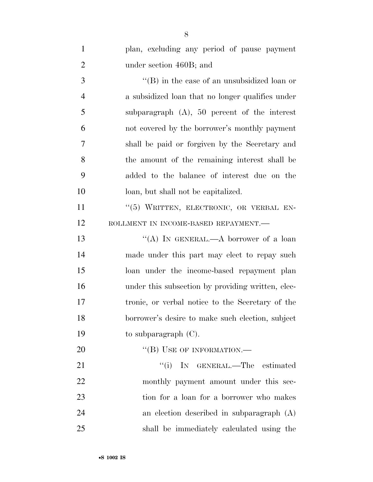| $\mathbf{1}$   | plan, excluding any period of pause payment       |
|----------------|---------------------------------------------------|
| $\overline{2}$ | under section 460B; and                           |
| 3              | $\lq$ (B) in the case of an unsubsidized loan or  |
| $\overline{4}$ | a subsidized loan that no longer qualifies under  |
| 5              | subparagraph $(A)$ , 50 percent of the interest   |
| 6              | not covered by the borrower's monthly payment     |
| 7              | shall be paid or forgiven by the Secretary and    |
| 8              | the amount of the remaining interest shall be     |
| 9              | added to the balance of interest due on the       |
| 10             | loan, but shall not be capitalized.               |
| 11             | "(5) WRITTEN, ELECTRONIC, OR VERBAL EN-           |
| 12             | ROLLMENT IN INCOME-BASED REPAYMENT.-              |
| 13             | "(A) IN GENERAL.—A borrower of a loan             |
| 14             | made under this part may elect to repay such      |
| 15             | loan under the income-based repayment plan        |
| 16             | under this subsection by providing written, elec- |
| 17             | tronic, or verbal notice to the Secretary of the  |
| 18             | borrower's desire to make such election, subject  |
| 19             | to subparagraph $(C)$ .                           |
| 20             | "(B) USE OF INFORMATION.—                         |
| 21             | ``(i)<br>IN GENERAL.—The estimated                |
| 22             | monthly payment amount under this sec-            |
| 23             | tion for a loan for a borrower who makes          |
| 24             | an election described in subparagraph $(A)$       |
| 25             | shall be immediately calculated using the         |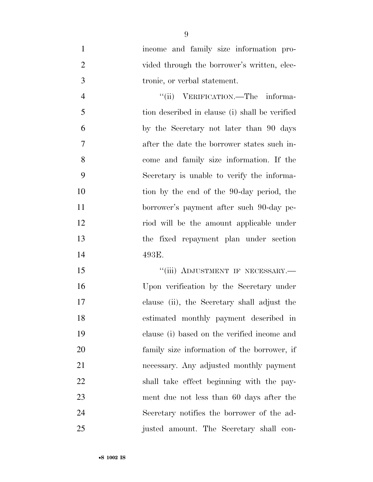income and family size information pro-2 vided through the borrower's written, elec-tronic, or verbal statement.

4 "(ii) VERIFICATION.—The informa- tion described in clause (i) shall be verified by the Secretary not later than 90 days after the date the borrower states such in- come and family size information. If the Secretary is unable to verify the informa- tion by the end of the 90-day period, the borrower's payment after such 90-day pe- riod will be the amount applicable under the fixed repayment plan under section 493E.

15 "'(iii) ADJUSTMENT IF NECESSARY.— Upon verification by the Secretary under clause (ii), the Secretary shall adjust the estimated monthly payment described in clause (i) based on the verified income and family size information of the borrower, if necessary. Any adjusted monthly payment shall take effect beginning with the pay- ment due not less than 60 days after the Secretary notifies the borrower of the ad-justed amount. The Secretary shall con-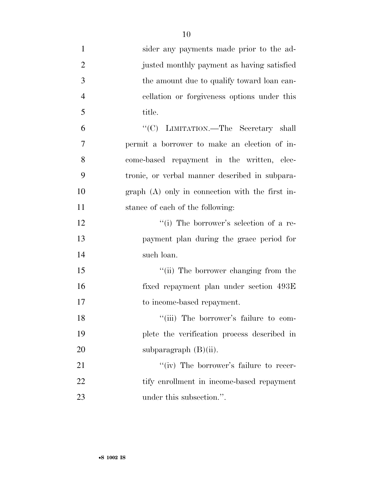| $\mathbf{1}$   | sider any payments made prior to the ad-         |
|----------------|--------------------------------------------------|
| $\overline{2}$ | justed monthly payment as having satisfied       |
| 3              | the amount due to qualify toward loan can-       |
| $\overline{4}$ | cellation or forgiveness options under this      |
| 5              | title.                                           |
| 6              | "(C) LIMITATION.—The Secretary shall             |
| $\overline{7}$ | permit a borrower to make an election of in-     |
| 8              | come-based repayment in the written, elec-       |
| 9              | tronic, or verbal manner described in subpara-   |
| 10             | $graph(A)$ only in connection with the first in- |
| 11             | stance of each of the following:                 |
| 12             | "(i) The borrower's selection of a re-           |
| 13             | payment plan during the grace period for         |
| 14             | such loan.                                       |
| 15             | "(ii) The borrower changing from the             |
| 16             | fixed repayment plan under section 493E          |
| 17             | to income-based repayment.                       |
| 18             | "(iii) The borrower's failure to com-            |
| 19             | plete the verification process described in      |
| 20             | subparagraph $(B)(ii)$ .                         |
| 21             | "(iv) The borrower's failure to recer-           |
| 22             | tify enrollment in income-based repayment        |
| 23             | under this subsection.".                         |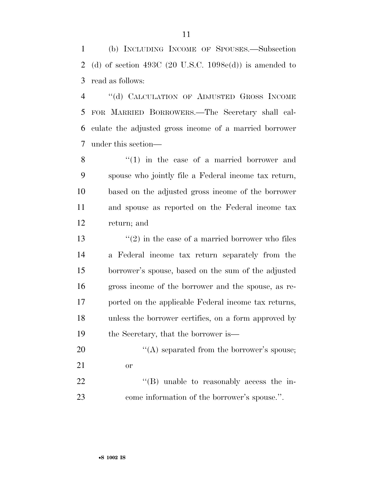(b) INCLUDING INCOME OF SPOUSES.—Subsection (d) of section 493C (20 U.S.C. 1098e(d)) is amended to read as follows:

 ''(d) CALCULATION OF ADJUSTED GROSS INCOME FOR MARRIED BORROWERS.—The Secretary shall cal- culate the adjusted gross income of a married borrower under this section—

8 ''(1) in the case of a married borrower and spouse who jointly file a Federal income tax return, based on the adjusted gross income of the borrower and spouse as reported on the Federal income tax return; and

 $\frac{13}{2}$  in the case of a married borrower who files a Federal income tax return separately from the borrower's spouse, based on the sum of the adjusted gross income of the borrower and the spouse, as re- ported on the applicable Federal income tax returns, unless the borrower certifies, on a form approved by 19 the Secretary, that the borrower is—

- 20  $\langle (A)$  separated from the borrower's spouse; or 22  $\text{``(B)}$  unable to reasonably access the in-
- come information of the borrower's spouse.''.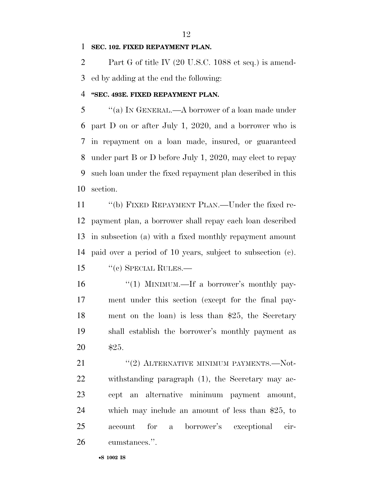### **SEC. 102. FIXED REPAYMENT PLAN.**

 Part G of title IV (20 U.S.C. 1088 et seq.) is amend-ed by adding at the end the following:

### **''SEC. 493E. FIXED REPAYMENT PLAN.**

 ''(a) IN GENERAL.—A borrower of a loan made under part D on or after July 1, 2020, and a borrower who is in repayment on a loan made, insured, or guaranteed under part B or D before July 1, 2020, may elect to repay such loan under the fixed repayment plan described in this section.

 ''(b) FIXED REPAYMENT PLAN.—Under the fixed re- payment plan, a borrower shall repay each loan described in subsection (a) with a fixed monthly repayment amount paid over a period of 10 years, subject to subsection (c). ''(c) SPECIAL RULES.—

16 "(1) MINIMUM.—If a borrower's monthly pay- ment under this section (except for the final pay- ment on the loan) is less than \$25, the Secretary shall establish the borrower's monthly payment as \$25.

21 ''(2) ALTERNATIVE MINIMUM PAYMENTS.—Not- withstanding paragraph (1), the Secretary may ac- cept an alternative minimum payment amount, which may include an amount of less than \$25, to account for a borrower's exceptional cir-cumstances.''.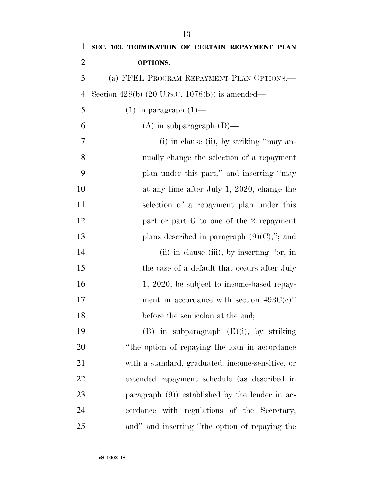| $\mathbf{1}$   | SEC. 103. TERMINATION OF CERTAIN REPAYMENT PLAN    |
|----------------|----------------------------------------------------|
| $\overline{2}$ | OPTIONS.                                           |
| 3              | (a) FFEL PROGRAM REPAYMENT PLAN OPTIONS.—          |
| $\overline{4}$ | Section $428(b)$ (20 U.S.C. 1078(b)) is amended—   |
| 5              | $(1)$ in paragraph $(1)$ —                         |
| 6              | $(A)$ in subparagraph $(D)$ —                      |
| 7              | (i) in clause (ii), by striking "may an-           |
| 8              | nually change the selection of a repayment         |
| 9              | plan under this part," and inserting "may          |
| 10             | at any time after July 1, 2020, change the         |
| 11             | selection of a repayment plan under this           |
| 12             | part or part G to one of the 2 repayment           |
| 13             | plans described in paragraph $(9)(C)$ ,"; and      |
| 14             | (ii) in clause (iii), by inserting "or, in         |
| 15             | the case of a default that occurs after July       |
| 16             | 1, 2020, be subject to income-based repay-         |
| 17             | ment in accordance with section $493C(e)$ "        |
| 18             | before the semicolon at the end;                   |
| 19             | $(B)$ in subparagraph $(E)(i)$ , by striking       |
| 20             | "the option of repaying the loan in accordance"    |
| 21             | with a standard, graduated, income-sensitive, or   |
| 22             | extended repayment schedule (as described in       |
| 23             | paragraph $(9)$ ) established by the lender in ac- |
| 24             | cordance with regulations of the Secretary;        |
| 25             | and" and inserting "the option of repaying the     |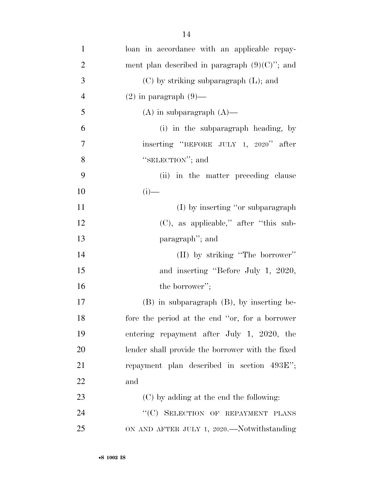| $\mathbf{1}$   | loan in accordance with an applicable repay-     |
|----------------|--------------------------------------------------|
| $\overline{2}$ | ment plan described in paragraph $(9)(C)$ "; and |
| 3              | $(C)$ by striking subparagraph $(L)$ ; and       |
| $\overline{4}$ | $(2)$ in paragraph $(9)$ —                       |
| 5              | $(A)$ in subparagraph $(A)$ —                    |
| 6              | (i) in the subparagraph heading, by              |
| 7              | inserting "BEFORE JULY 1, 2020" after            |
| 8              | "SELECTION"; and                                 |
| 9              | (ii) in the matter preceding clause              |
| 10             | $(i)$ —                                          |
| 11             | (I) by inserting "or subparagraph"               |
| 12             | $(C)$ , as applicable," after "this sub-         |
| 13             | paragraph"; and                                  |
| 14             | (II) by striking "The borrower"                  |
| 15             | and inserting "Before July 1, 2020,              |
| 16             | the borrower";                                   |
| 17             | (B) in subparagraph (B), by inserting be-        |
| 18             | fore the period at the end "or, for a borrower   |
| 19             | entering repayment after July 1, 2020, the       |
| 20             | lender shall provide the borrower with the fixed |
| 21             | repayment plan described in section 493E";       |
| 22             | and                                              |
| 23             | (C) by adding at the end the following:          |
| 24             | "(C) SELECTION OF REPAYMENT PLANS                |
| 25             | ON AND AFTER JULY 1, 2020.—Notwithstanding       |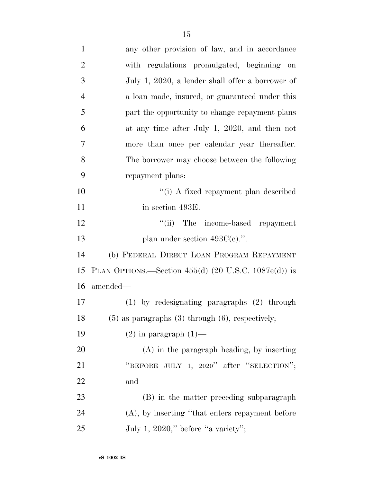| $\mathbf{1}$   | any other provision of law, and in accordance           |
|----------------|---------------------------------------------------------|
| $\overline{2}$ | with regulations promulgated, beginning on              |
| 3              | July 1, 2020, a lender shall offer a borrower of        |
| $\overline{4}$ | a loan made, insured, or guaranteed under this          |
| 5              | part the opportunity to change repayment plans          |
| 6              | at any time after July 1, 2020, and then not            |
| 7              | more than once per calendar year thereafter.            |
| 8              | The borrower may choose between the following           |
| 9              | repayment plans:                                        |
| 10             | "(i) A fixed repayment plan described                   |
| 11             | in section 493E.                                        |
| 12             | "(ii) The income-based repayment                        |
| 13             | plan under section $493C(e)$ .".                        |
| 14             | (b) FEDERAL DIRECT LOAN PROGRAM REPAYMENT               |
| 15             | PLAN OPTIONS.—Section $455(d)$ (20 U.S.C. 1087e(d)) is  |
| 16             | amended—                                                |
| 17             | $(1)$ by redesignating paragraphs $(2)$ through         |
| 18             | $(5)$ as paragraphs $(3)$ through $(6)$ , respectively; |
| 19             | $(2)$ in paragraph $(1)$ —                              |
| 20             | $(A)$ in the paragraph heading, by inserting            |
| 21             | "BEFORE JULY 1, 2020" after "SELECTION";                |
| 22             | and                                                     |
| 23             | (B) in the matter preceding subparagraph                |
| 24             | (A), by inserting "that enters repayment before         |
| 25             | July 1, 2020," before "a variety";                      |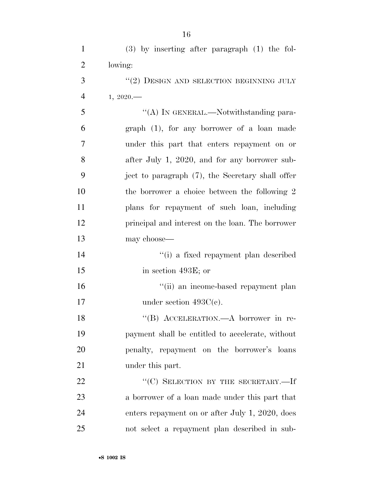| $\mathbf{1}$   | $(3)$ by inserting after paragraph $(1)$ the fol- |
|----------------|---------------------------------------------------|
| $\overline{2}$ | lowing:                                           |
| 3              | $\lq (2)$ DESIGN AND SELECTION BEGINNING JULY     |
| $\overline{4}$ | 1, 2020.                                          |
| 5              | "(A) IN GENERAL.—Notwithstanding para-            |
| 6              | $graph$ (1), for any borrower of a loan made      |
| 7              | under this part that enters repayment on or       |
| 8              | after July 1, 2020, and for any borrower sub-     |
| 9              | ject to paragraph (7), the Secretary shall offer  |
| 10             | the borrower a choice between the following 2     |
| 11             | plans for repayment of such loan, including       |
| 12             | principal and interest on the loan. The borrower  |
| 13             | may choose—                                       |
| 14             | "(i) a fixed repayment plan described             |
| 15             | in section 493E; or                               |
| 16             | "(ii) an income-based repayment plan              |
| 17             | under section $493C(e)$ .                         |
| 18             | "(B) ACCELERATION.—A borrower in re-              |
| 19             | payment shall be entitled to accelerate, without  |
| 20             | penalty, repayment on the borrower's loans        |
| 21             | under this part.                                  |
| 22             | "(C) SELECTION BY THE SECRETARY.-If               |
| 23             | a borrower of a loan made under this part that    |
| 24             | enters repayment on or after July 1, 2020, does   |
| 25             | not select a repayment plan described in sub-     |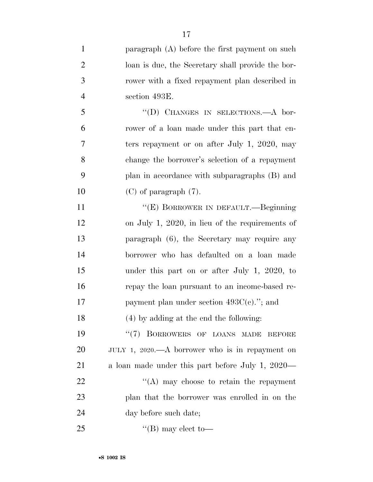| $\mathbf{1}$   | paragraph (A) before the first payment on such    |
|----------------|---------------------------------------------------|
| $\overline{2}$ | loan is due, the Secretary shall provide the bor- |
| 3              | rower with a fixed repayment plan described in    |
| 4              | section 493E.                                     |
| 5              | "(D) CHANGES IN SELECTIONS.—A bor-                |
| 6              | rower of a loan made under this part that en-     |
| 7              | ters repayment or on after July 1, 2020, may      |
| 8              | change the borrower's selection of a repayment    |
| 9              | plan in accordance with subparagraphs (B) and     |
| 10             | $(C)$ of paragraph $(7)$ .                        |
| 11             | "(E) BORROWER IN DEFAULT.—Beginning               |
| 12             | on July 1, 2020, in lieu of the requirements of   |
| 13             | paragraph (6), the Secretary may require any      |
| 14             | borrower who has defaulted on a loan made         |
| 15             | under this part on or after July 1, 2020, to      |
| 16             | repay the loan pursuant to an income-based re-    |
| 17             | payment plan under section $493C(e)$ ."; and      |
| 18             | (4) by adding at the end the following:           |
| 19             | "(7) BORROWERS OF LOANS MADE<br><b>BEFORE</b>     |
| 20             | JULY 1, 2020.—A borrower who is in repayment on   |
| 21             | a loan made under this part before July 1, 2020—  |
| 22             | $\lq\lq$ may choose to retain the repayment       |
| 23             | plan that the borrower was enrolled in on the     |
| 24             | day before such date;                             |
| 25             | "(B) may elect to—                                |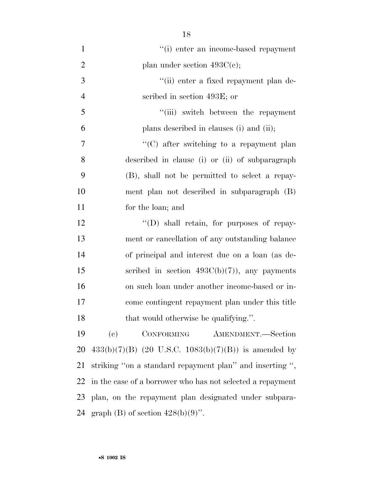| $\mathbf{1}$   | "(i) enter an income-based repayment                           |
|----------------|----------------------------------------------------------------|
| $\overline{2}$ | plan under section $493C(e)$ ;                                 |
| 3              | "(ii) enter a fixed repayment plan de-                         |
| $\overline{4}$ | scribed in section 493E; or                                    |
| 5              | "(iii) switch between the repayment                            |
| 6              | plans described in clauses (i) and (ii);                       |
| 7              | $\lq\lq$ (C) after switching to a repayment plan               |
| 8              | described in clause (i) or (ii) of subparagraph                |
| 9              | (B), shall not be permitted to select a repay-                 |
| 10             | ment plan not described in subparagraph (B)                    |
| 11             | for the loan; and                                              |
| 12             | $\lq\lq$ (D) shall retain, for purposes of repay-              |
| 13             | ment or cancellation of any outstanding balance                |
| 14             | of principal and interest due on a loan (as de-                |
| 15             | scribed in section $493C(b)(7)$ , any payments                 |
| 16             | on such loan under another income-based or in-                 |
| 17             | come contingent repayment plan under this title                |
| 18             | that would otherwise be qualifying.".                          |
| 19             | $\left( \mathrm{e}\right)$<br>CONFORMING<br>AMENDMENT.-Section |
| 20             | $433(b)(7)(B)$ (20 U.S.C. 1083(b)(7)(B)) is amended by         |
| 21             | striking "on a standard repayment plan" and inserting ",       |
| 22             | in the case of a borrower who has not selected a repayment     |
| 23             | plan, on the repayment plan designated under subpara-          |
| 24             | graph (B) of section $428(b)(9)$ ".                            |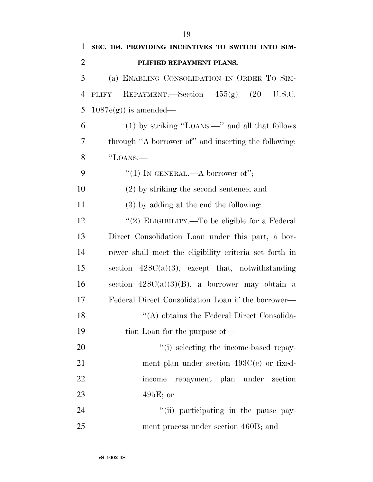| $\mathbf{1}$   | SEC. 104. PROVIDING INCENTIVES TO SWITCH INTO SIM-     |
|----------------|--------------------------------------------------------|
| $\overline{2}$ | PLIFIED REPAYMENT PLANS.                               |
| 3              | (a) ENABLING CONSOLIDATION IN ORDER TO SIM-            |
| $\overline{4}$ | REPAYMENT.—Section $455(g)$ (20<br>U.S.C.<br>PLIFY     |
| 5              | $1087e(g)$ is amended—                                 |
| 6              | (1) by striking "LOANS.—" and all that follows         |
| 7              | through "A borrower of" and inserting the following:   |
| 8              | "LOANS.—                                               |
| 9              | "(1) IN GENERAL.—A borrower of";                       |
| 10             | $(2)$ by striking the second sentence; and             |
| 11             | $(3)$ by adding at the end the following:              |
| 12             | "(2) ELIGIBILITY.—To be eligible for a Federal         |
| 13             | Direct Consolidation Loan under this part, a bor-      |
| 14             | rower shall meet the eligibility criteria set forth in |
| 15             | section $428C(a)(3)$ , except that, notwithstanding    |
| 16             | section $428C(a)(3)(B)$ , a borrower may obtain a      |
| 17             | Federal Direct Consolidation Loan if the borrower—     |
| 18             | "(A) obtains the Federal Direct Consolida-             |
| 19             | tion Loan for the purpose of—                          |
| 20             | "(i) selecting the income-based repay-                 |
| 21             | ment plan under section $493C(c)$ or fixed-            |
| 22             | repayment plan under section<br>income                 |
| 23             | $495E$ ; or                                            |
| 24             | "(ii) participating in the pause pay-                  |
| 25             | ment process under section 460B; and                   |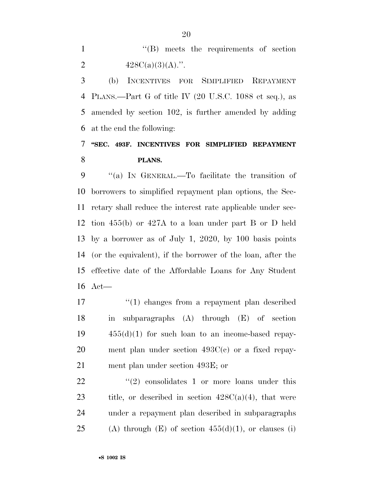1 ''(B) meets the requirements of section 2  $428C(a)(3)(A)$ .".

 (b) INCENTIVES FOR SIMPLIFIED REPAYMENT PLANS.—Part G of title IV (20 U.S.C. 1088 et seq.), as amended by section 102, is further amended by adding at the end the following:

# **''SEC. 493F. INCENTIVES FOR SIMPLIFIED REPAYMENT PLANS.**

 ''(a) IN GENERAL.—To facilitate the transition of borrowers to simplified repayment plan options, the Sec- retary shall reduce the interest rate applicable under sec- tion 455(b) or 427A to a loan under part B or D held by a borrower as of July 1, 2020, by 100 basis points (or the equivalent), if the borrower of the loan, after the effective date of the Affordable Loans for Any Student Act—

 $\frac{1}{2}$  (1) changes from a repayment plan described in subparagraphs (A) through (E) of section  $19 \t 455(d)(1)$  for such loan to an income-based repay- ment plan under section 493C(c) or a fixed repay-ment plan under section 493E; or

 $\frac{1}{22}$  ''(2) consolidates 1 or more loans under this 23 title, or described in section  $428C(a)(4)$ , that were under a repayment plan described in subparagraphs 25 (A) through  $(E)$  of section  $455(d)(1)$ , or clauses (i)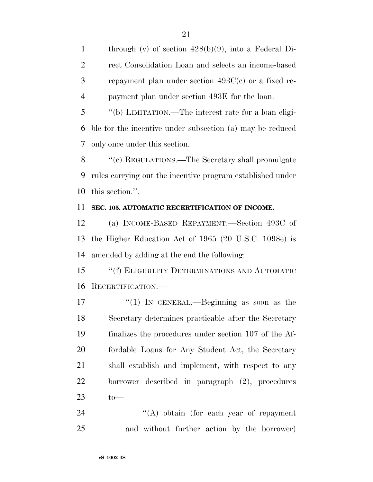through (v) of section 428(b)(9), into a Federal Di- rect Consolidation Loan and selects an income-based repayment plan under section 493C(c) or a fixed re-payment plan under section 493E for the loan.

 ''(b) LIMITATION.—The interest rate for a loan eligi- ble for the incentive under subsection (a) may be reduced only once under this section.

8 "(c) REGULATIONS.—The Secretary shall promulgate rules carrying out the incentive program established under this section.''.

# **SEC. 105. AUTOMATIC RECERTIFICATION OF INCOME.**

 (a) INCOME-BASED REPAYMENT.—Section 493C of the Higher Education Act of 1965 (20 U.S.C. 1098e) is amended by adding at the end the following:

 ''(f) ELIGIBILITY DETERMINATIONS AND AUTOMATIC RECERTIFICATION.—

17 ''(1) In GENERAL.—Beginning as soon as the Secretary determines practicable after the Secretary finalizes the procedures under section 107 of the Af- fordable Loans for Any Student Act, the Secretary shall establish and implement, with respect to any borrower described in paragraph (2), procedures  $\qquad \qquad \text{to}$ 

24 ''(A) obtain (for each year of repayment and without further action by the borrower)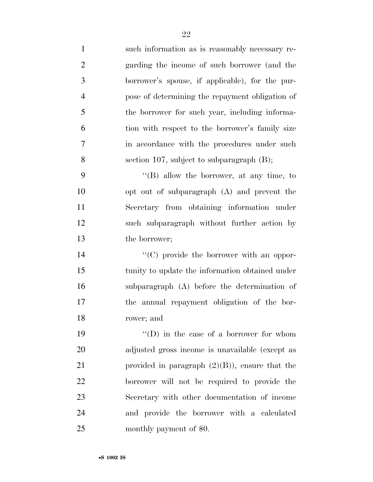such information as is reasonably necessary re- garding the income of such borrower (and the borrower's spouse, if applicable), for the pur- pose of determining the repayment obligation of the borrower for such year, including informa- tion with respect to the borrower's family size in accordance with the procedures under such section 107, subject to subparagraph (B); ''(B) allow the borrower, at any time, to opt out of subparagraph (A) and prevent the Secretary from obtaining information under such subparagraph without further action by the borrower;  $\lq\lq$  (C) provide the borrower with an oppor- tunity to update the information obtained under subparagraph (A) before the determination of the annual repayment obligation of the bor- rower; and  $\qquad$  ''(D) in the case of a borrower for whom adjusted gross income is unavailable (except as 21 provided in paragraph  $(2)(B)$ , ensure that the borrower will not be required to provide the Secretary with other documentation of income and provide the borrower with a calculated monthly payment of \$0.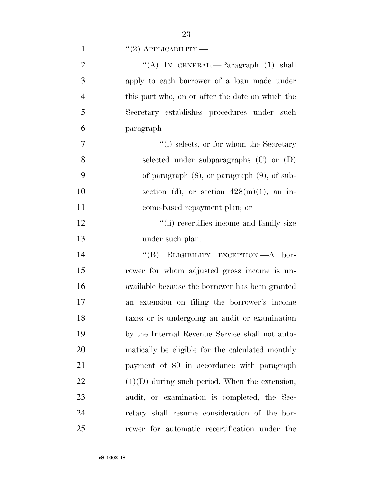|  | $\lq(2)$ APPLICABILITY. |
|--|-------------------------|
|--|-------------------------|

| $\overline{2}$ | "(A) IN GENERAL.—Paragraph $(1)$ shall            |
|----------------|---------------------------------------------------|
| 3              | apply to each borrower of a loan made under       |
| $\overline{4}$ | this part who, on or after the date on which the  |
| 5              | Secretary establishes procedures under such       |
| 6              | paragraph—                                        |
| 7              | "(i) selects, or for whom the Secretary           |
| 8              | selected under subparagraphs $(C)$ or $(D)$       |
| 9              | of paragraph $(8)$ , or paragraph $(9)$ , of sub- |
| 10             | section (d), or section $428(m)(1)$ , an in-      |
| 11             | come-based repayment plan; or                     |
| 12             | "(ii) recertifies income and family size          |
| 13             | under such plan.                                  |
| 14             | "(B) ELIGIBILITY EXCEPTION.—A bor-                |
| 15             | rower for whom adjusted gross income is un-       |
| 16             | available because the borrower has been granted   |
| 17             | an extension on filing the borrower's income      |
| 18             | taxes or is undergoing an audit or examination    |
| 19             | by the Internal Revenue Service shall not auto-   |
| 20             | matically be eligible for the calculated monthly  |
| 21             | payment of \$0 in accordance with paragraph       |
| 22             | $(1)(D)$ during such period. When the extension,  |
| 23             | audit, or examination is completed, the Sec-      |
| 24             | retary shall resume consideration of the bor-     |
| 25             | rower for automatic recertification under the     |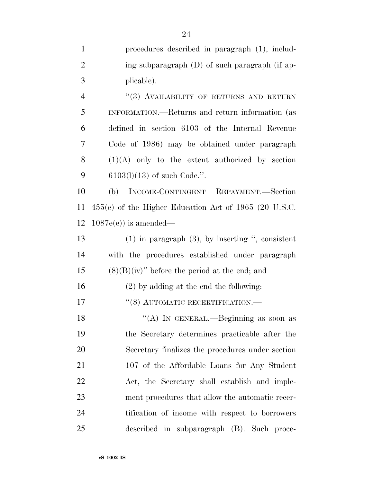| $\mathbf{1}$   | procedures described in paragraph (1), includ-          |
|----------------|---------------------------------------------------------|
| $\overline{2}$ | ing subparagraph (D) of such paragraph (if ap-          |
| 3              | plicable).                                              |
| $\overline{4}$ | "(3) AVAILABILITY OF RETURNS AND RETURN                 |
| 5              | INFORMATION.—Returns and return information (as         |
| 6              | defined in section 6103 of the Internal Revenue         |
| 7              | Code of 1986) may be obtained under paragraph           |
| 8              | $(1)(A)$ only to the extent authorized by section       |
| 9              | $6103(1)(13)$ of such Code.".                           |
| 10             | (b) INCOME-CONTINGENT REPAYMENT.-Section                |
| 11             | $455(e)$ of the Higher Education Act of 1965 (20 U.S.C. |
| 12             | $1087e(e)$ is amended—                                  |
| 13             | $(1)$ in paragraph $(3)$ , by inserting ", consistent   |
| 14             | with the procedures established under paragraph         |
| 15             | $(8)(B)(iv)$ " before the period at the end; and        |
| 16             | $(2)$ by adding at the end the following:               |
| 17             | $``(8)$ AUTOMATIC RECERTIFICATION.—                     |
| 18             | "(A) IN GENERAL.—Beginning as soon as                   |
| 19             | the Secretary determines practicable after the          |
| 20             | Secretary finalizes the procedures under section        |
| 21             | 107 of the Affordable Loans for Any Student             |
| 22             | Act, the Secretary shall establish and imple-           |
| 23             | ment procedures that allow the automatic recer-         |
| 24             | tification of income with respect to borrowers          |
| 25             | described in subparagraph (B). Such proce-              |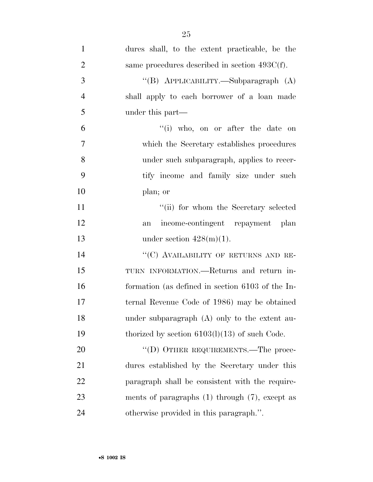| $\mathbf{1}$   | dures shall, to the extent practicable, be the      |
|----------------|-----------------------------------------------------|
| $\overline{2}$ | same procedures described in section $493C(f)$ .    |
| 3              | "(B) APPLICABILITY.—Subparagraph (A)                |
| $\overline{4}$ | shall apply to each borrower of a loan made         |
| 5              | under this part—                                    |
| 6              | "(i) who, on or after the date on                   |
| 7              | which the Secretary establishes procedures          |
| 8              | under such subparagraph, applies to recer-          |
| 9              | tify income and family size under such              |
| 10             | plan; or                                            |
| 11             | "(ii) for whom the Secretary selected               |
| 12             | income-contingent repayment plan<br>an              |
| 13             | under section $428(m)(1)$ .                         |
| 14             | "(C) AVAILABILITY OF RETURNS AND RE-                |
| 15             | TURN INFORMATION.—Returns and return in-            |
| 16             | formation (as defined in section 6103 of the In-    |
| 17             | ternal Revenue Code of 1986) may be obtained        |
| 18             | under subparagraph $(A)$ only to the extent au-     |
| 19             | thorized by section $6103(1)(13)$ of such Code.     |
| 20             | "(D) OTHER REQUIREMENTS.—The proce-                 |
| 21             | dures established by the Secretary under this       |
| 22             | paragraph shall be consistent with the require-     |
| 23             | ments of paragraphs $(1)$ through $(7)$ , except as |
| 24             | otherwise provided in this paragraph.".             |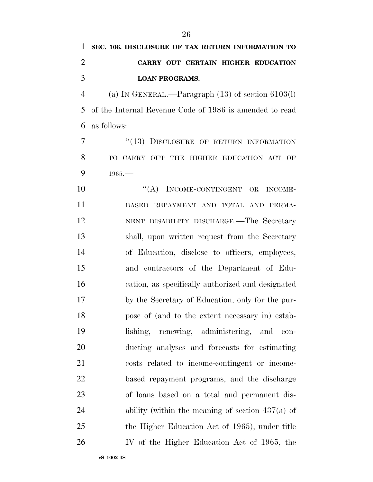# **SEC. 106. DISCLOSURE OF TAX RETURN INFORMATION TO CARRY OUT CERTAIN HIGHER EDUCATION LOAN PROGRAMS.**

 (a) IN GENERAL.—Paragraph (13) of section 6103(l) of the Internal Revenue Code of 1986 is amended to read as follows:

7 "(13) DISCLOSURE OF RETURN INFORMATION TO CARRY OUT THE HIGHER EDUCATION ACT OF 9 1965.

10 "(A) INCOME-CONTINGENT OR INCOME- BASED REPAYMENT AND TOTAL AND PERMA- NENT DISABILITY DISCHARGE.—The Secretary shall, upon written request from the Secretary of Education, disclose to officers, employees, and contractors of the Department of Edu- cation, as specifically authorized and designated by the Secretary of Education, only for the pur- pose of (and to the extent necessary in) estab- lishing, renewing, administering, and con- ducting analyses and forecasts for estimating costs related to income-contingent or income- based repayment programs, and the discharge of loans based on a total and permanent dis- ability (within the meaning of section 437(a) of the Higher Education Act of 1965), under title IV of the Higher Education Act of 1965, the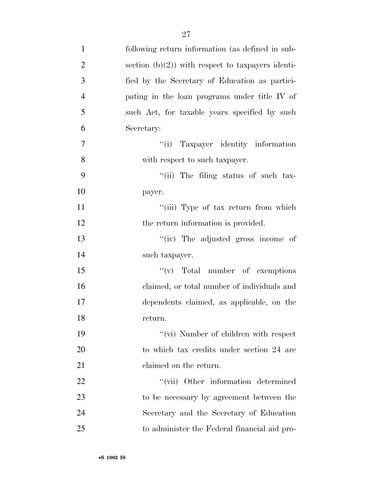| $\mathbf{1}$   | following return information (as defined in sub-     |
|----------------|------------------------------------------------------|
| $\overline{2}$ | section $(b)(2)$ ) with respect to taxpayers identi- |
| 3              | fied by the Secretary of Education as partici-       |
| $\overline{4}$ | pating in the loan programs under title IV of        |
| 5              | such Act, for taxable years specified by such        |
| 6              | Secretary:                                           |
| 7              | "(i) Taxpayer identity information                   |
| 8              | with respect to such taxpayer.                       |
| 9              | "(ii) The filing status of such tax-                 |
| 10             | payer.                                               |
| 11             | "(iii) Type of tax return from which                 |
| 12             | the return information is provided.                  |
| 13             | "(iv) The adjusted gross income of                   |
| 14             | such taxpayer.                                       |
| 15             | $f'(v)$ Total number of exemptions                   |
| 16             | claimed, or total number of individuals and          |
| 17             | dependents claimed, as applicable, on the            |
| 18             | return.                                              |
| 19             | "(vi) Number of children with respect                |
| 20             | to which tax credits under section 24 are            |
| 21             | claimed on the return.                               |
| 22             | "(vii) Other information determined                  |
| 23             | to be necessary by agreement between the             |
| 24             | Secretary and the Secretary of Education             |
| 25             | to administer the Federal financial aid pro-         |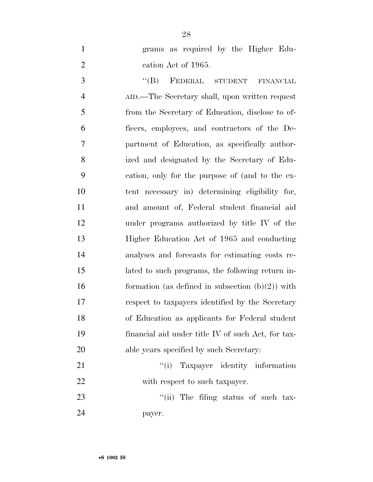- 
- grams as required by the Higher Edu-2 cation Act of 1965.

3 "(B) FEDERAL STUDENT FINANCIAL AID.—The Secretary shall, upon written request from the Secretary of Education, disclose to of- ficers, employees, and contractors of the De- partment of Education, as specifically author- ized and designated by the Secretary of Edu- cation, only for the purpose of (and to the ex- tent necessary in) determining eligibility for, and amount of, Federal student financial aid under programs authorized by title IV of the Higher Education Act of 1965 and conducting analyses and forecasts for estimating costs re- lated to such programs, the following return in-16 formation (as defined in subsection  $(b)(2)$ ) with respect to taxpayers identified by the Secretary of Education as applicants for Federal student financial aid under title IV of such Act, for tax-20 able years specified by such Secretary:

21 ''(i) Taxpayer identity information 22 with respect to such taxpayer.

23  $\frac{1}{1}$  The filing status of such tax-payer.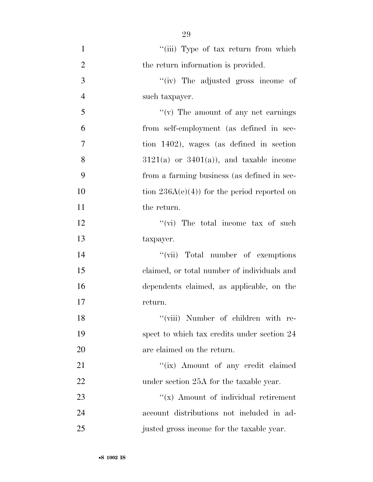| $\mathbf{1}$   | "(iii) Type of tax return from which         |
|----------------|----------------------------------------------|
| $\overline{2}$ | the return information is provided.          |
| 3              | "(iv) The adjusted gross income of           |
| $\overline{4}$ | such taxpayer.                               |
| 5              | $f'(v)$ The amount of any net earnings       |
| 6              | from self-employment (as defined in sec-     |
| $\overline{7}$ | tion 1402), wages (as defined in section     |
| 8              | $3121(a)$ or $3401(a)$ , and taxable income  |
| 9              | from a farming business (as defined in sec-  |
| 10             | tion $236A(e)(4)$ for the period reported on |
| 11             | the return.                                  |
| 12             | " $(vi)$ The total income tax of such        |
| 13             | taxpayer.                                    |
| 14             | "(vii) Total number of exemptions            |
| 15             | claimed, or total number of individuals and  |
| 16             | dependents claimed, as applicable, on the    |
| 17             | return.                                      |
| 18             | "(viii) Number of children with re-          |
| 19             | spect to which tax credits under section 24  |
| 20             | are claimed on the return.                   |
| 21             | "(ix) Amount of any credit claimed           |
| 22             | under section 25A for the taxable year.      |
| 23             | " $(x)$ Amount of individual retirement      |
| 24             | account distributions not included in ad-    |
| 25             | justed gross income for the taxable year.    |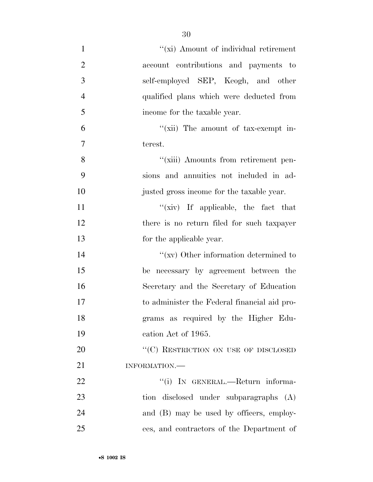| $\mathbf{1}$   | "(xi) Amount of individual retirement        |
|----------------|----------------------------------------------|
| $\overline{2}$ | account contributions and payments to        |
| 3              | self-employed SEP, Keogh, and other          |
| $\overline{4}$ | qualified plans which were deducted from     |
| 5              | income for the taxable year.                 |
| 6              | "(xii) The amount of tax-exempt in-          |
| $\tau$         | terest.                                      |
| 8              | "(xiii) Amounts from retirement pen-         |
| 9              | sions and annuities not included in ad-      |
| 10             | justed gross income for the taxable year.    |
| 11             | " $(xiv)$ If applicable, the fact that       |
| 12             | there is no return filed for such taxpayer   |
| 13             | for the applicable year.                     |
| 14             | $``(xv)$ Other information determined to     |
| 15             | be necessary by agreement between the        |
| 16             | Secretary and the Secretary of Education     |
| 17             | to administer the Federal financial aid pro- |
| 18             | grams as required by the Higher Edu-         |
| 19             | cation Act of 1965.                          |
| 20             | "(C) RESTRICTION ON USE OF DISCLOSED         |
| 21             | INFORMATION.-                                |
| 22             | "(i) IN GENERAL.—Return informa-             |
| 23             | tion disclosed under subparagraphs (A)       |
| 24             | and (B) may be used by officers, employ-     |
| 25             | ees, and contractors of the Department of    |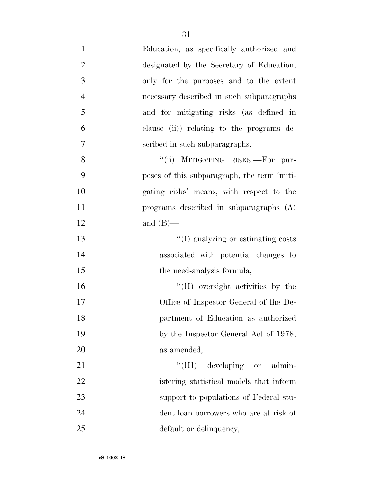| $\mathbf{1}$   | Education, as specifically authorized and   |
|----------------|---------------------------------------------|
| $\overline{2}$ | designated by the Secretary of Education,   |
| 3              | only for the purposes and to the extent     |
| $\overline{4}$ | necessary described in such subparagraphs   |
| 5              | and for mitigating risks (as defined in     |
| 6              | clause (ii) relating to the programs de-    |
| 7              | scribed in such subparagraphs.              |
| 8              | "(ii) MITIGATING RISKS.-For pur-            |
| 9              | poses of this subparagraph, the term 'miti- |
| 10             | gating risks' means, with respect to the    |
| 11             | programs described in subparagraphs $(A)$   |
| 12             | and $(B)$ —                                 |
| 13             | "(I) analyzing or estimating costs          |
| 14             | associated with potential changes to        |
| 15             | the need-analysis formula,                  |
| 16             | "(II) oversight activities by the           |
| 17             | Office of Inspector General of the De-      |
| 18             | partment of Education as authorized         |
| 19             | by the Inspector General Act of 1978,       |
| 20             | as amended,                                 |
| 21             | "(III) developing or admin-                 |
| 22             | istering statistical models that inform     |
| 23             | support to populations of Federal stu-      |
| 24             | dent loan borrowers who are at risk of      |
| 25             | default or delinquency,                     |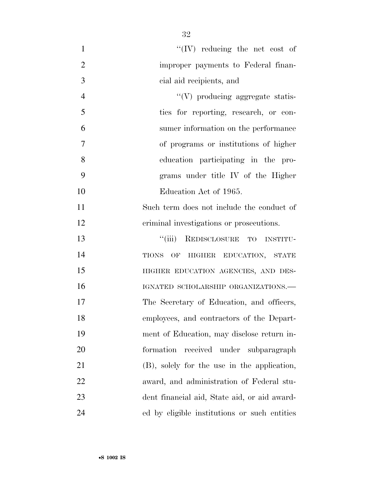| $\mathbf{1}$   | $\lq\lq (IV)$ reducing the net cost of       |
|----------------|----------------------------------------------|
| $\overline{2}$ | improper payments to Federal finan-          |
| 3              | cial aid recipients, and                     |
| $\overline{4}$ | $\lq\lq(V)$ producing aggregate statis-      |
| 5              | ties for reporting, research, or con-        |
| 6              | sumer information on the performance         |
| 7              | of programs or institutions of higher        |
| 8              | education participating in the pro-          |
| 9              | grams under title IV of the Higher           |
| 10             | Education Act of 1965.                       |
| 11             | Such term does not include the conduct of    |
| 12             | criminal investigations or prosecutions.     |
| 13             | ``(iii)<br>REDISCLOSURE TO INSTITU-          |
| 14             | TIONS OF HIGHER EDUCATION, STATE             |
| 15             | HIGHER EDUCATION AGENCIES, AND DES-          |
| 16             | IGNATED SCHOLARSHIP ORGANIZATIONS.-          |
| 17             | The Secretary of Education, and officers,    |
| 18             | employees, and contractors of the Depart-    |
| 19             | ment of Education, may disclose return in-   |
| 20             | formation<br>received under subparagraph     |
| 21             | (B), solely for the use in the application,  |
| 22             | award, and administration of Federal stu-    |
| 23             | dent financial aid, State aid, or aid award- |
| 24             | ed by eligible institutions or such entities |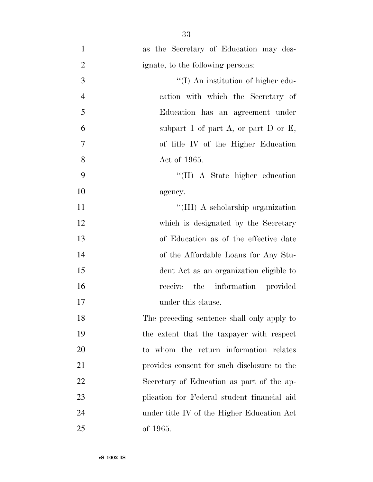| $\mathbf{1}$   | as the Secretary of Education may des-      |
|----------------|---------------------------------------------|
| $\overline{2}$ | ignate, to the following persons:           |
| 3              | "(I) An institution of higher edu-          |
| $\overline{4}$ | cation with which the Secretary of          |
| 5              | Education has an agreement under            |
| 6              | subpart 1 of part $A$ , or part D or E,     |
| 7              | of title IV of the Higher Education         |
| 8              | Act of 1965.                                |
| 9              | "(II) A State higher education              |
| 10             | agency.                                     |
| 11             | "(III) A scholarship organization           |
| 12             | which is designated by the Secretary        |
| 13             | of Education as of the effective date       |
| 14             | of the Affordable Loans for Any Stu-        |
| 15             | dent Act as an organization eligible to     |
| 16             | receive the information provided            |
| 17             | under this clause.                          |
| 18             | The preceding sentence shall only apply to  |
| 19             | the extent that the taxpayer with respect   |
| 20             | to whom the return information relates      |
| 21             | provides consent for such disclosure to the |
| 22             | Secretary of Education as part of the ap-   |
| 23             | plication for Federal student financial aid |
| 24             | under title IV of the Higher Education Act  |
| 25             | of 1965.                                    |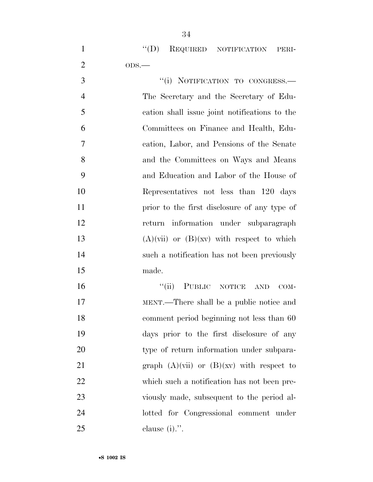|               | $\lq\lq$ (D) REQUIRED NOTIFICATION PERI- |  |
|---------------|------------------------------------------|--|
|               | $ODS$ —                                  |  |
| $\mathcal{R}$ | "(i) NOTIFICATION TO CONGRESS.—          |  |

 The Secretary and the Secretary of Edu- cation shall issue joint notifications to the Committees on Finance and Health, Edu- cation, Labor, and Pensions of the Senate and the Committees on Ways and Means and Education and Labor of the House of Representatives not less than 120 days prior to the first disclosure of any type of return information under subparagraph  $(A)(\text{vii})$  or  $(B)(\text{xy})$  with respect to which such a notification has not been previously made.

16 "(ii) PUBLIC NOTICE AND COM- MENT.—There shall be a public notice and comment period beginning not less than 60 days prior to the first disclosure of any 20 type of return information under subpara-21 graph  $(A)(\n \text{vii})$  or  $(B)(\n \text{xv})$  with respect to which such a notification has not been pre- viously made, subsequent to the period al- lotted for Congressional comment under clause (i).''.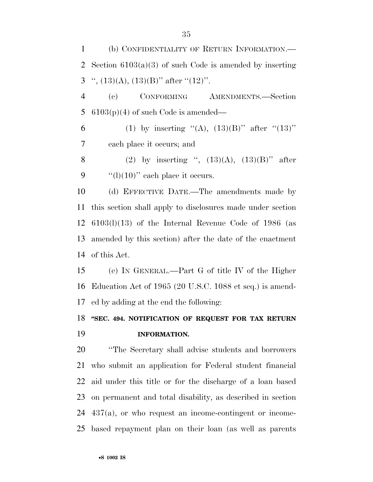(b) CONFIDENTIALITY OF RETURN INFORMATION.— Section 6103(a)(3) of such Code is amended by inserting 3 ",  $(13)(A)$ ,  $(13)(B)$ " after " $(12)$ ". (c) CONFORMING AMENDMENTS.—Section  $6103(p)(4)$  of such Code is amended— 6 (1) by inserting "(A),  $(13)(B)$ " after " $(13)$ " each place it occurs; and 8 (2) by inserting ",  $(13)(A)$ ,  $(13)(B)$ " after  $\frac{((1)(10))}{(100)}$  each place it occurs. (d) EFFECTIVE DATE.—The amendments made by this section shall apply to disclosures made under section 6103(l)(13) of the Internal Revenue Code of 1986 (as amended by this section) after the date of the enactment of this Act. (e) IN GENERAL.—Part G of title IV of the Higher Education Act of 1965 (20 U.S.C. 1088 et seq.) is amend- ed by adding at the end the following: **''SEC. 494. NOTIFICATION OF REQUEST FOR TAX RETURN INFORMATION.**  ''The Secretary shall advise students and borrowers who submit an application for Federal student financial aid under this title or for the discharge of a loan based on permanent and total disability, as described in section 437(a), or who request an income-contingent or income-based repayment plan on their loan (as well as parents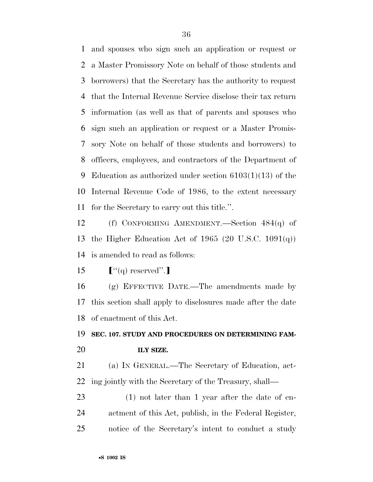and spouses who sign such an application or request or a Master Promissory Note on behalf of those students and borrowers) that the Secretary has the authority to request that the Internal Revenue Service disclose their tax return information (as well as that of parents and spouses who sign such an application or request or a Master Promis- sory Note on behalf of those students and borrowers) to officers, employees, and contractors of the Department of Education as authorized under section 6103(1)(13) of the Internal Revenue Code of 1986, to the extent necessary for the Secretary to carry out this title.''.

 (f) CONFORMING AMENDMENT.—Section 484(q) of the Higher Education Act of 1965 (20 U.S.C. 1091(q)) is amended to read as follows:

ø''(q) reserved''.¿

 (g) EFFECTIVE DATE.—The amendments made by this section shall apply to disclosures made after the date of enactment of this Act.

 **SEC. 107. STUDY AND PROCEDURES ON DETERMINING FAM-ILY SIZE.** 

 (a) IN GENERAL.—The Secretary of Education, act-ing jointly with the Secretary of the Treasury, shall—

 (1) not later than 1 year after the date of en- actment of this Act, publish, in the Federal Register, notice of the Secretary's intent to conduct a study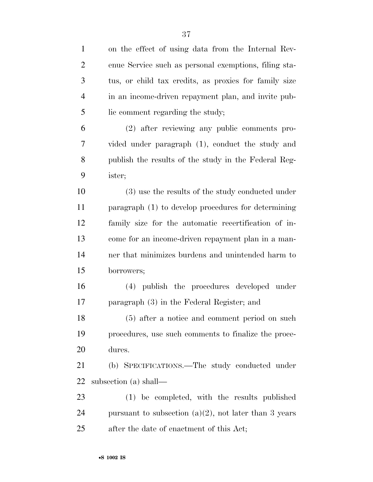| $\mathbf{1}$   | on the effect of using data from the Internal Rev-       |
|----------------|----------------------------------------------------------|
| $\overline{2}$ | enue Service such as personal exemptions, filing sta-    |
| 3              | tus, or child tax credits, as proxies for family size    |
| $\overline{4}$ | in an income-driven repayment plan, and invite pub-      |
| 5              | lic comment regarding the study;                         |
| 6              | (2) after reviewing any public comments pro-             |
| 7              | vided under paragraph (1), conduct the study and         |
| 8              | publish the results of the study in the Federal Reg-     |
| 9              | ister;                                                   |
| 10             | (3) use the results of the study conducted under         |
| 11             | paragraph $(1)$ to develop procedures for determining    |
| 12             | family size for the automatic recertification of in-     |
| 13             | come for an income-driven repayment plan in a man-       |
| 14             | ner that minimizes burdens and unintended harm to        |
| 15             | borrowers;                                               |
| 16             | (4) publish the procedures developed under               |
| 17             | paragraph (3) in the Federal Register; and               |
| 18             | $(5)$ after a notice and comment period on such          |
| 19             | procedures, use such comments to finalize the proce-     |
| 20             | dures.                                                   |
| 21             | (b) SPECIFICATIONS.—The study conducted under            |
| 22             | subsection (a) shall—                                    |
| 23             | (1) be completed, with the results published             |
| 24             | pursuant to subsection $(a)(2)$ , not later than 3 years |
| 25             | after the date of enactment of this Act;                 |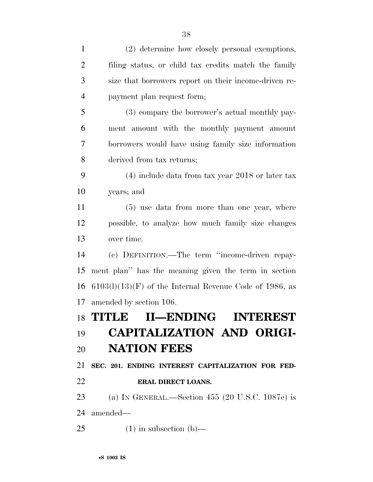| $\mathbf{1}$   | (2) determine how closely personal exemptions,            |
|----------------|-----------------------------------------------------------|
| $\overline{2}$ | filing status, or child tax credits match the family      |
| 3              | size that borrowers report on their income-driven re-     |
| $\overline{4}$ | payment plan request form;                                |
| 5              | (3) compare the borrower's actual monthly pay-            |
| 6              | ment amount with the monthly payment amount               |
| 7              | borrowers would have using family size information        |
| 8              | derived from tax returns;                                 |
| 9              | $(4)$ include data from tax year 2018 or later tax        |
| 10             | years; and                                                |
| 11             | $(5)$ use data from more than one year, where             |
| 12             | possible, to analyze how much family size changes         |
| 13             | over time.                                                |
| 14             | (c) DEFINITION.—The term "income-driven repay-            |
| 15             | ment plan" has the meaning given the term in section      |
| 16             | $6103(l)(13)(F)$ of the Internal Revenue Code of 1986, as |
| 17             | amended by section 106.                                   |
|                | 18 TITLE II—ENDING INTEREST                               |
| 19             | <b>CAPITALIZATION AND ORIGI-</b>                          |
| 20             | <b>NATION FEES</b>                                        |
| 21             | SEC. 201. ENDING INTEREST CAPITALIZATION FOR FED-         |
| 22             | <b>ERAL DIRECT LOANS.</b>                                 |
| 23             | (a) IN GENERAL.—Section $455$ (20 U.S.C. 1087e) is        |
| 24             | amended—                                                  |
| 25             | $(1)$ in subsection $(b)$ —                               |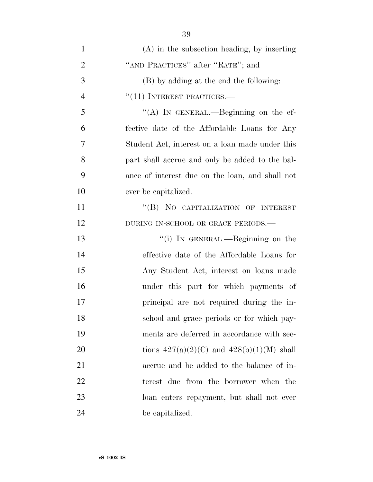| $\mathbf{1}$   | $(A)$ in the subsection heading, by inserting   |
|----------------|-------------------------------------------------|
| $\overline{2}$ | "AND PRACTICES" after "RATE"; and               |
| 3              | (B) by adding at the end the following:         |
| $\overline{4}$ | $``(11)$ INTEREST PRACTICES.—                   |
| 5              | "(A) IN GENERAL.—Beginning on the ef-           |
| 6              | fective date of the Affordable Loans for Any    |
| 7              | Student Act, interest on a loan made under this |
| 8              | part shall accrue and only be added to the bal- |
| 9              | ance of interest due on the loan, and shall not |
| 10             | ever be capitalized.                            |
| 11             | "(B) NO CAPITALIZATION OF INTEREST              |
| 12             | DURING IN-SCHOOL OR GRACE PERIODS.-             |
| 13             | "(i) IN GENERAL.—Beginning on the               |
| 14             | effective date of the Affordable Loans for      |
| 15             | Any Student Act, interest on loans made         |
| 16             | under this part for which payments of           |
| 17             | principal are not required during the in-       |
| 18             | school and grace periods or for which pay-      |
| 19             | ments are deferred in accordance with sec-      |
| 20             | tions $427(a)(2)(C)$ and $428(b)(1)(M)$ shall   |
| 21             | accrue and be added to the balance of in-       |
| 22             | terest due from the borrower when the           |
| 23             | loan enters repayment, but shall not ever       |
| 24             | be capitalized.                                 |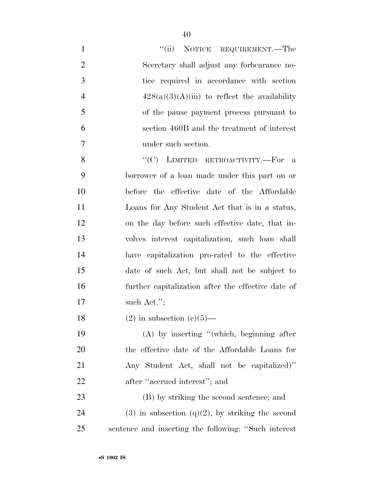| $\mathbf{1}$   | "(ii) NOTICE REQUIREMENT.—The                         |
|----------------|-------------------------------------------------------|
| $\overline{2}$ | Secretary shall adjust any forbearance no-            |
| 3              | tice required in accordance with section              |
| $\overline{4}$ | $428(a)(3)(A)(iii)$ to reflect the availability       |
| 5              | of the pause payment process pursuant to              |
| 6              | section 460B and the treatment of interest            |
| 7              | under such section.                                   |
| 8              | "(C) LIMITED RETROACTIVITY.-For a                     |
| 9              | borrower of a loan made under this part on or         |
| 10             | before the effective date of the Affordable           |
| 11             | Loans for Any Student Act that is in a status,        |
| 12             | on the day before such effective date, that in-       |
| 13             | volves interest capitalization, such loan shall       |
| 14             | have capitalization pro-rated to the effective        |
| 15             | date of such Act, but shall not be subject to         |
| 16             | further capitalization after the effective date of    |
| 17             | such Act.";                                           |
| 18             | $(2)$ in subsection $(e)(5)$ —                        |
| 19             | $(A)$ by inserting "(which, beginning after           |
| 20             | the effective date of the Affordable Loans for        |
| 21             | Any Student Act, shall not be capitalized)"           |
| 22             | after "accrued interest"; and                         |
| 23             | (B) by striking the second sentence; and              |
| 24             | $(3)$ in subsection $(q)(2)$ , by striking the second |
| 25             | sentence and inserting the following: "Such interest" |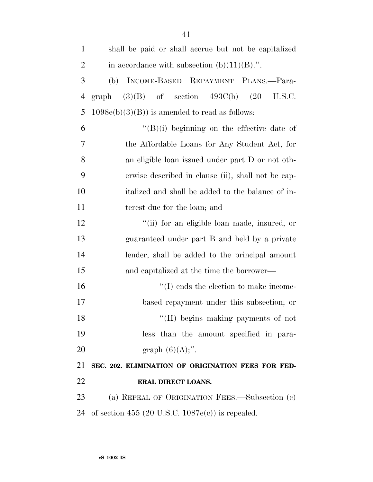| $\mathbf{1}$   | shall be paid or shall accrue but not be capitalized |
|----------------|------------------------------------------------------|
| $\overline{2}$ | in accordance with subsection $(b)(11)(B)$ .".       |
| 3              | INCOME-BASED REPAYMENT PLANS.-Para-<br>(b)           |
| $\overline{4}$ | $(3)(B)$ of section $493C(b)$ $(20)$ U.S.C.<br>graph |
| 5              | $1098e(b)(3)(B)$ is amended to read as follows:      |
| 6              | $\lq\lq(B)(i)$ beginning on the effective date of    |
| 7              | the Affordable Loans for Any Student Act, for        |
| 8              | an eligible loan issued under part D or not oth-     |
| 9              | erwise described in clause (ii), shall not be cap-   |
| 10             | italized and shall be added to the balance of in-    |
| 11             | terest due for the loan; and                         |
| 12             | "(ii) for an eligible loan made, insured, or         |
| 13             | guaranteed under part B and held by a private        |
| 14             | lender, shall be added to the principal amount       |
| 15             | and capitalized at the time the borrower—            |
| 16             | $\lq\lq$ (I) ends the election to make income-       |
| 17             | based repayment under this subsection; or            |
| 18             | "(II) begins making payments of not                  |
| 19             | less than the amount specified in para-              |
| 20             | graph $(6)(A)$ ;".                                   |
| 21             | SEC. 202. ELIMINATION OF ORIGINATION FEES FOR FED-   |
| 22             | ERAL DIRECT LOANS.                                   |
| 23             | (a) REPEAL OF ORIGINATION FEES.—Subsection (c)       |
| 24             | of section 455 (20 U.S.C. $1087e(c)$ ) is repealed.  |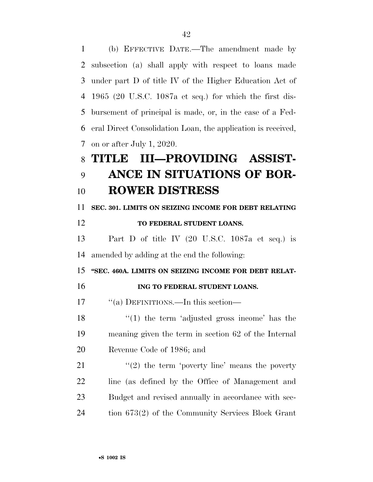(b) EFFECTIVE DATE.—The amendment made by subsection (a) shall apply with respect to loans made under part D of title IV of the Higher Education Act of 1965 (20 U.S.C. 1087a et seq.) for which the first dis- bursement of principal is made, or, in the case of a Fed- eral Direct Consolidation Loan, the application is received, on or after July 1, 2020. **TITLE III—PROVIDING ASSIST- ANCE IN SITUATIONS OF BOR- ROWER DISTRESS SEC. 301. LIMITS ON SEIZING INCOME FOR DEBT RELATING TO FEDERAL STUDENT LOANS.**  Part D of title IV (20 U.S.C. 1087a et seq.) is amended by adding at the end the following: **''SEC. 460A. LIMITS ON SEIZING INCOME FOR DEBT RELAT-ING TO FEDERAL STUDENT LOANS.** 17 "(a) DEFINITIONS.—In this section—  $\frac{1}{2}$  (1) the term 'adjusted gross income' has the meaning given the term in section 62 of the Internal Revenue Code of 1986; and  $\frac{1}{2}$  the term 'poverty line' means the poverty line (as defined by the Office of Management and Budget and revised annually in accordance with sec-tion 673(2) of the Community Services Block Grant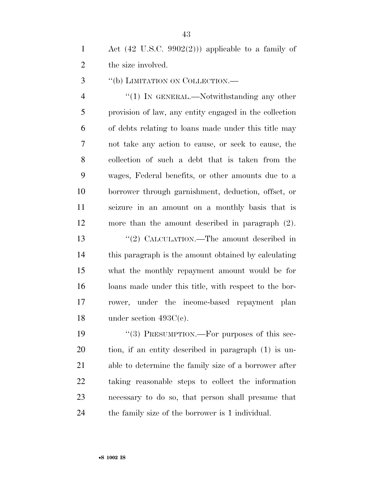1 Act  $(42 \text{ U.S.C. } 9902(2))$  applicable to a family of 2 the size involved.

3 "(b) LIMITATION ON COLLECTION.—

4 "(1) In GENERAL.—Notwithstanding any other provision of law, any entity engaged in the collection of debts relating to loans made under this title may not take any action to cause, or seek to cause, the collection of such a debt that is taken from the wages, Federal benefits, or other amounts due to a borrower through garnishment, deduction, offset, or seizure in an amount on a monthly basis that is more than the amount described in paragraph (2). 13 "(2) CALCULATION.—The amount described in this paragraph is the amount obtained by calculating what the monthly repayment amount would be for loans made under this title, with respect to the bor-

 rower, under the income-based repayment plan 18 under section 493C(c).

19 "(3) PRESUMPTION.—For purposes of this sec- tion, if an entity described in paragraph (1) is un- able to determine the family size of a borrower after taking reasonable steps to collect the information necessary to do so, that person shall presume that the family size of the borrower is 1 individual.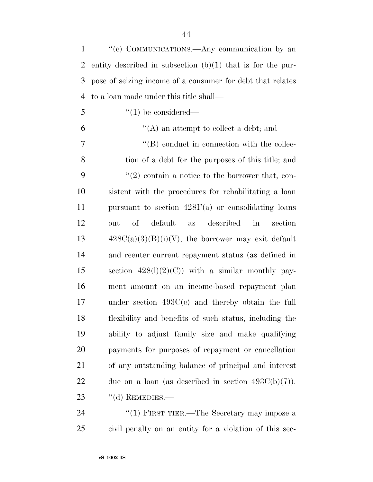''(c) COMMUNICATIONS.—Any communication by an entity described in subsection (b)(1) that is for the pur- pose of seizing income of a consumer for debt that relates to a loan made under this title shall— ''(1) be considered—  $(4)$  an attempt to collect a debt; and  $\langle$  (B) conduct in connection with the collec- tion of a debt for the purposes of this title; and  $(2)$  contain a notice to the borrower that, con- sistent with the procedures for rehabilitating a loan pursuant to section 428F(a) or consolidating loans out of default as described in section  $428C(a)(3)(B)(i)(V)$ , the borrower may exit default and reenter current repayment status (as defined in 15 section  $428(1)(2)(C)$  with a similar monthly pay- ment amount on an income-based repayment plan under section 493C(c) and thereby obtain the full flexibility and benefits of such status, including the ability to adjust family size and make qualifying payments for purposes of repayment or cancellation of any outstanding balance of principal and interest 22 due on a loan (as described in section  $493C(b)(7)$ ). 23 "(d) REMEDIES.—

24 "(1) FIRST TIER.—The Secretary may impose a civil penalty on an entity for a violation of this sec-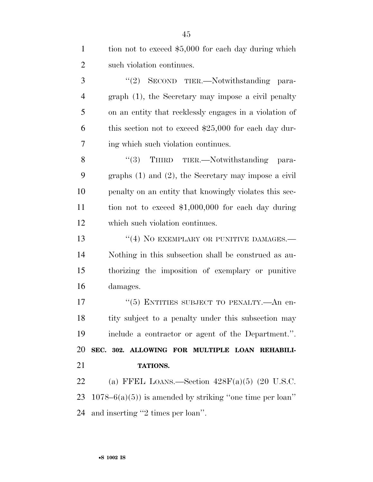| $\mathbf{1}$   | tion not to exceed \$5,000 for each day during which      |
|----------------|-----------------------------------------------------------|
| $\overline{2}$ | such violation continues.                                 |
| 3              | "(2) SECOND TIER.—Notwithstanding para-                   |
| $\overline{4}$ | graph (1), the Secretary may impose a civil penalty       |
| 5              | on an entity that recklessly engages in a violation of    |
| 6              | this section not to exceed $$25,000$ for each day dur-    |
| 7              | ing which such violation continues.                       |
| 8              | "(3) THIRD TIER.—Notwithstanding para-                    |
| 9              | graphs $(1)$ and $(2)$ , the Secretary may impose a civil |
| 10             | penalty on an entity that knowingly violates this sec-    |
| 11             | tion not to exceed $$1,000,000$ for each day during       |
| 12             | which such violation continues.                           |
| 13             | "(4) NO EXEMPLARY OR PUNITIVE DAMAGES.-                   |
| 14             | Nothing in this subsection shall be construed as au-      |
| 15             | thorizing the imposition of exemplary or punitive         |
| 16             | damages.                                                  |
| 17             | "(5) ENTITIES SUBJECT TO PENALTY.—An en-                  |
| 18             |                                                           |
|                | tity subject to a penalty under this subsection may       |
|                | include a contractor or agent of the Department.".        |
|                | SEC. 302. ALLOWING FOR MULTIPLE LOAN REHABILI-            |
| 19<br>20<br>21 | TATIONS.                                                  |
| 22             | (a) FFEL LOANS.—Section $428F(a)(5)$ (20 U.S.C.           |
| 23             | $1078-6(a)(5)$ is amended by striking "one time per loan" |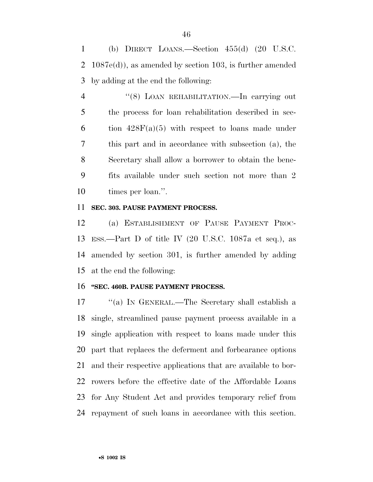(b) DIRECT LOANS.—Section 455(d) (20 U.S.C. 1087e(d)), as amended by section 103, is further amended by adding at the end the following:

4 "(8) LOAN REHABILITATION.—In carrying out the process for loan rehabilitation described in sec-6 tion  $428F(a)(5)$  with respect to loans made under this part and in accordance with subsection (a), the Secretary shall allow a borrower to obtain the bene- fits available under such section not more than 2 10 times per loan.".

## **SEC. 303. PAUSE PAYMENT PROCESS.**

 (a) ESTABLISHMENT OF PAUSE PAYMENT PROC- ESS.—Part D of title IV (20 U.S.C. 1087a et seq.), as amended by section 301, is further amended by adding at the end the following:

## **''SEC. 460B. PAUSE PAYMENT PROCESS.**

 ''(a) IN GENERAL.—The Secretary shall establish a single, streamlined pause payment process available in a single application with respect to loans made under this part that replaces the deferment and forbearance options and their respective applications that are available to bor- rowers before the effective date of the Affordable Loans for Any Student Act and provides temporary relief from repayment of such loans in accordance with this section.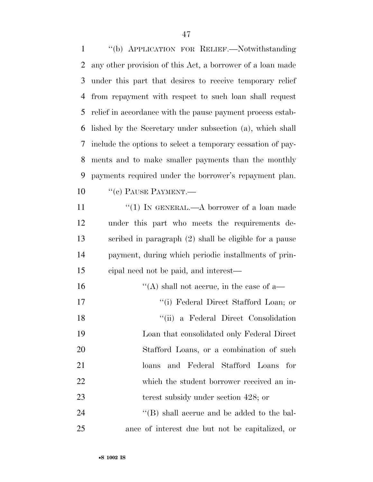''(b) APPLICATION FOR RELIEF.—Notwithstanding any other provision of this Act, a borrower of a loan made under this part that desires to receive temporary relief from repayment with respect to such loan shall request relief in accordance with the pause payment process estab- lished by the Secretary under subsection (a), which shall include the options to select a temporary cessation of pay- ments and to make smaller payments than the monthly payments required under the borrower's repayment plan. 10 "(c) PAUSE PAYMENT.— 11 "(1) IN GENERAL.—A borrower of a loan made under this part who meets the requirements de- scribed in paragraph (2) shall be eligible for a pause payment, during which periodic installments of prin- cipal need not be paid, and interest— ''(A) shall not accrue, in the case of a— ''(i) Federal Direct Stafford Loan; or ''(ii) a Federal Direct Consolidation Loan that consolidated only Federal Direct Stafford Loans, or a combination of such loans and Federal Stafford Loans for which the student borrower received an in-23 terest subsidy under section 428; or 24 ''(B) shall accrue and be added to the bal-

ance of interest due but not be capitalized, or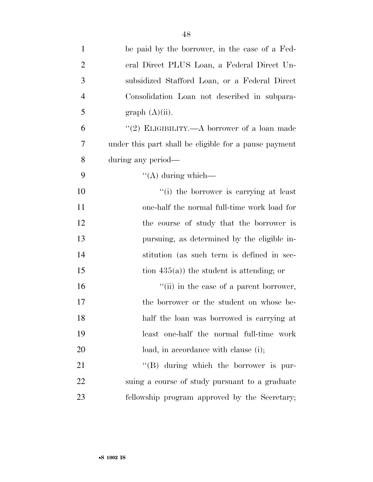| $\mathbf{1}$   | be paid by the borrower, in the case of a Fed-        |
|----------------|-------------------------------------------------------|
| $\overline{2}$ | eral Direct PLUS Loan, a Federal Direct Un-           |
| 3              | subsidized Stafford Loan, or a Federal Direct         |
| $\overline{4}$ | Consolidation Loan not described in subpara-          |
| 5              | graph (A)(ii).                                        |
| 6              | "(2) ELIGIBILITY.—A borrower of a loan made           |
| 7              | under this part shall be eligible for a pause payment |
| 8              | during any period—                                    |
| 9              | $\lq\lq$ during which—                                |
| 10             | "(i) the borrower is carrying at least                |
| 11             | one-half the normal full-time work load for           |
| 12             | the course of study that the borrower is              |
| 13             | pursuing, as determined by the eligible in-           |
| 14             | stitution (as such term is defined in sec-            |
| 15             | tion $435(a)$ ) the student is attending; or          |
| 16             | "(ii) in the case of a parent borrower,               |
| 17             | the borrower or the student on whose be-              |
| 18             | half the loan was borrowed is carrying at             |
| 19             | least one-half the normal full-time work              |
| 20             | load, in accordance with clause (i);                  |
| 21             | $\lq\lq (B)$ during which the borrower is pur-        |
| 22             | suing a course of study pursuant to a graduate        |
| 23             | fellowship program approved by the Secretary;         |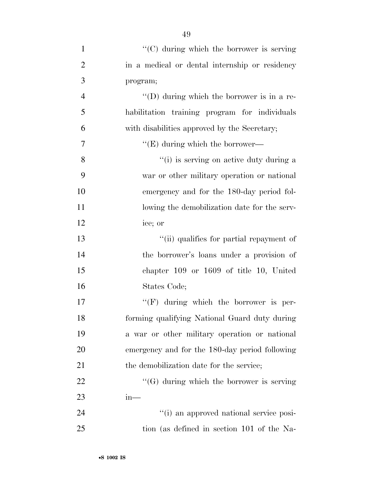| $\mathbf{1}$   | "(C) during which the borrower is serving          |
|----------------|----------------------------------------------------|
| $\overline{2}$ | in a medical or dental internship or residency     |
| 3              | program;                                           |
| $\overline{4}$ | $\lq\lq$ (D) during which the borrower is in a re- |
| 5              | habilitation training program for individuals      |
| 6              | with disabilities approved by the Secretary;       |
| $\overline{7}$ | $\lq\lq(E)$ during which the borrower—             |
| 8              | "(i) is serving on active duty during a            |
| 9              | war or other military operation or national        |
| 10             | emergency and for the 180-day period fol-          |
| 11             | lowing the demobilization date for the serv-       |
| 12             | ice; or                                            |
| 13             | "(ii) qualifies for partial repayment of           |
| 14             | the borrower's loans under a provision of          |
| 15             | chapter $109$ or $1609$ of title 10, United        |
| 16             | States Code;                                       |
| 17             | $\lq\lq(F)$ during which the borrower is per-      |
| 18             | forming qualifying National Guard duty during      |
| 19             | a war or other military operation or national      |
| 20             | emergency and for the 180-day period following     |
| 21             | the demobilization date for the service;           |
| <u>22</u>      | $\lq\lq(G)$ during which the borrower is serving   |
| 23             | $in-$                                              |
| 24             | "(i) an approved national service posi-            |
| 25             | tion (as defined in section 101 of the Na-         |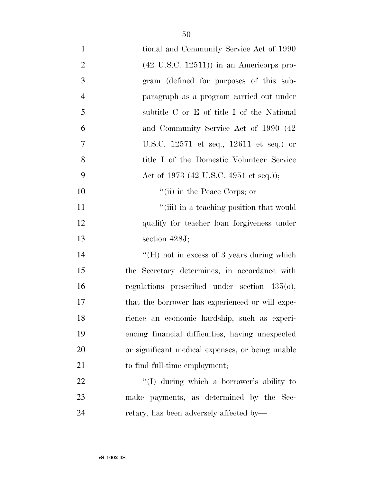| $\mathbf{1}$   | tional and Community Service Act of 1990           |
|----------------|----------------------------------------------------|
| $\overline{2}$ | $(42 \text{ U.S.C. } 12511)$ in an Americorps pro- |
| 3              | gram (defined for purposes of this sub-            |
| $\overline{4}$ | paragraph as a program carried out under           |
| 5              | subtitle C or E of title I of the National         |
| 6              | and Community Service Act of 1990 (42)             |
| $\overline{7}$ | U.S.C. 12571 et seq., 12611 et seq.) or            |
| 8              | title I of the Domestic Volunteer Service          |
| 9              | Act of 1973 (42 U.S.C. 4951 et seq.));             |
| 10             | "(ii) in the Peace Corps; or                       |
| 11             | "(iii) in a teaching position that would           |
| 12             | qualify for teacher loan forgiveness under         |
| 13             | section $428J$ ;                                   |
| 14             | $\lq\lq$ (H) not in excess of 3 years during which |
| 15             | the Secretary determines, in accordance with       |
| 16             | regulations prescribed under section $435(0)$ ,    |
| 17             | that the borrower has experienced or will expe-    |
| 18             | rience an economic hardship, such as experi-       |
| 19             | encing financial difficulties, having unexpected   |
| 20             | or significant medical expenses, or being unable   |
| 21             | to find full-time employment;                      |
| 22             | "(I) during which a borrower's ability to          |
| 23             | make payments, as determined by the Sec-           |
| 24             | retary, has been adversely affected by—            |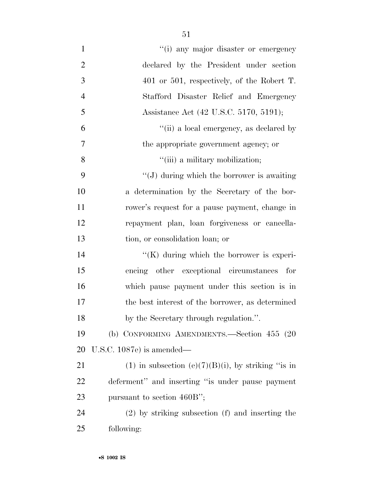| $\mathbf{1}$   | "(i) any major disaster or emergency                 |
|----------------|------------------------------------------------------|
| $\mathbf{2}$   | declared by the President under section              |
| $\mathfrak{Z}$ | $401$ or $501$ , respectively, of the Robert T.      |
| $\overline{4}$ | Stafford Disaster Relief and Emergency               |
| 5              | Assistance Act (42 U.S.C. 5170, 5191);               |
| 6              | "(ii) a local emergency, as declared by              |
| $\overline{7}$ | the appropriate government agency; or                |
| 8              | "(iii) a military mobilization;                      |
| 9              | $\lq\lq(J)$ during which the borrower is awaiting    |
| 10             | a determination by the Secretary of the bor-         |
| 11             | rower's request for a pause payment, change in       |
| 12             | repayment plan, loan forgiveness or cancella-        |
| 13             | tion, or consolidation loan; or                      |
| 14             | $\lq\lq$ during which the borrower is experi-        |
| 15             | encing other exceptional circumstances for           |
| 16             | which pause payment under this section is in         |
| 17             | the best interest of the borrower, as determined     |
| 18             | by the Secretary through regulation.".               |
| 19             | (b) CONFORMING AMENDMENTS.—Section 455 (20           |
| 20             | U.S.C. $1087e$ is amended—                           |
| 21             | (1) in subsection (e)(7)(B)(i), by striking "is in   |
| 22             | deferment" and inserting "is under pause payment     |
| 23             | pursuant to section 460B";                           |
| 24             | $(2)$ by striking subsection $(f)$ and inserting the |
| 25             | following:                                           |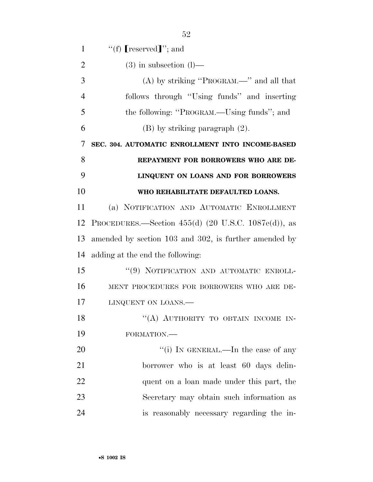| 1              | "(f) $[respect]$ "; and                                               |
|----------------|-----------------------------------------------------------------------|
| $\overline{2}$ | $(3)$ in subsection $(l)$ —                                           |
| 3              | $(A)$ by striking "PROGRAM.—" and all that                            |
| 4              | follows through "Using funds" and inserting                           |
| 5              | the following: "PROGRAM.—Using funds"; and                            |
| 6              | $(B)$ by striking paragraph $(2)$ .                                   |
| 7              | SEC. 304. AUTOMATIC ENROLLMENT INTO INCOME-BASED                      |
| 8              | REPAYMENT FOR BORROWERS WHO ARE DE-                                   |
| 9              | LINQUENT ON LOANS AND FOR BORROWERS                                   |
| 10             | WHO REHABILITATE DEFAULTED LOANS.                                     |
| 11             | (a) NOTIFICATION AND AUTOMATIC ENROLLMENT                             |
| 12             | PROCEDURES.—Section 455(d) $(20 \text{ U.S.C. } 1087\text{e(d)}),$ as |
| 13             | amended by section 103 and 302, is further amended by                 |
| 14             | adding at the end the following:                                      |
| 15             | "(9) NOTIFICATION AND AUTOMATIC ENROLL-                               |
| 16             | MENT PROCEDURES FOR BORROWERS WHO ARE DE-                             |
| 17             | LINQUENT ON LOANS.                                                    |
| 18             | "(A) AUTHORITY TO OBTAIN INCOME IN-                                   |
| 19             | FORMATION.-                                                           |
| 20             | "(i) IN GENERAL.—In the case of any                                   |
| 21             | borrower who is at least 60 days delin-                               |
| 22             | quent on a loan made under this part, the                             |
| 23             | Secretary may obtain such information as                              |
| 24             | is reasonably necessary regarding the in-                             |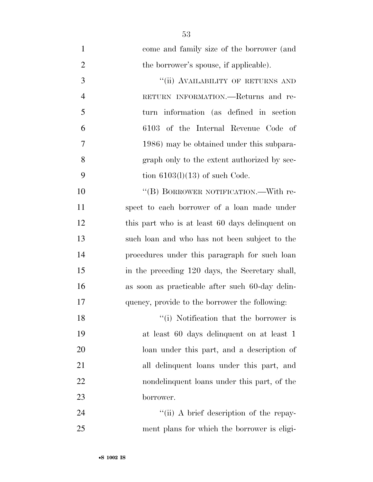| $\mathbf{1}$   | come and family size of the borrower (and       |
|----------------|-------------------------------------------------|
| $\overline{2}$ | the borrower's spouse, if applicable).          |
| 3              | "(ii) AVAILABILITY OF RETURNS AND               |
| $\overline{4}$ | RETURN INFORMATION.—Returns and re-             |
| 5              | turn information (as defined in section)        |
| 6              | 6103 of the Internal Revenue Code of            |
| 7              | 1986) may be obtained under this subpara-       |
| 8              | graph only to the extent authorized by sec-     |
| 9              | tion $6103(1)(13)$ of such Code.                |
| 10             | "(B) BORROWER NOTIFICATION.—With re-            |
| 11             | spect to each borrower of a loan made under     |
| 12             | this part who is at least 60 days delinquent on |
| 13             | such loan and who has not been subject to the   |
| 14             | procedures under this paragraph for such loan   |
| 15             | in the preceding 120 days, the Secretary shall, |
| 16             | as soon as practicable after such 60-day delin- |
| 17             | quency, provide to the borrower the following:  |
| 18             | "(i) Notification that the borrower is          |
| 19             | at least 60 days delinquent on at least 1       |
| 20             | loan under this part, and a description of      |
| 21             | all delinquent loans under this part, and       |
| 22             | nondelinquent loans under this part, of the     |
| 23             | borrower.                                       |
|                |                                                 |

24 ''(ii) A brief description of the repay-ment plans for which the borrower is eligi-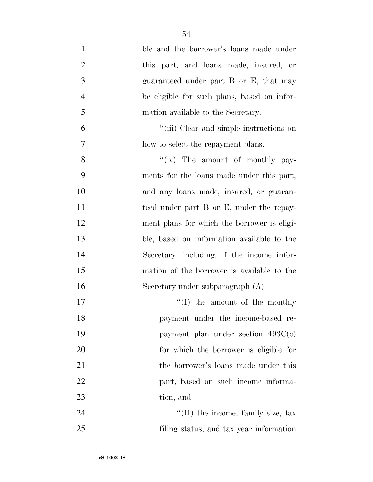| $\mathbf{1}$   | ble and the borrower's loans made under     |
|----------------|---------------------------------------------|
| $\overline{2}$ | this part, and loans made, insured, or      |
| $\mathfrak{Z}$ | guaranteed under part B or E, that may      |
| $\overline{4}$ | be eligible for such plans, based on infor- |
| 5              | mation available to the Secretary.          |
| 6              | "(iii) Clear and simple instructions on     |
| $\overline{7}$ | how to select the repayment plans.          |
| 8              | "(iv) The amount of monthly pay-            |
| 9              | ments for the loans made under this part,   |
| 10             | and any loans made, insured, or guaran-     |
| 11             | teed under part B or E, under the repay-    |
| 12             | ment plans for which the borrower is eligi- |
| 13             | ble, based on information available to the  |
| 14             | Secretary, including, if the income infor-  |
| 15             | mation of the borrower is available to the  |
| 16             | Secretary under subparagraph $(A)$ —        |
| 17             | $\lq\lq$ (I) the amount of the monthly      |
| 18             | payment under the income-based re-          |
| 19             | payment plan under section $493C(e)$        |
| 20             | for which the borrower is eligible for      |
| 21             | the borrower's loans made under this        |
| 22             | part, based on such income informa-         |
| 23             | tion; and                                   |
| 24             | "(II) the income, family size, tax          |
| 25             | filing status, and tax year information     |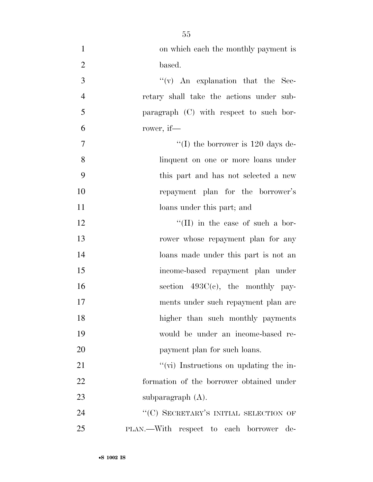| $\mathbf{1}$   | on which each the monthly payment is        |
|----------------|---------------------------------------------|
| $\overline{2}$ | based.                                      |
| 3              | $f'(v)$ An explanation that the Sec-        |
| $\overline{4}$ | retary shall take the actions under sub-    |
| 5              | paragraph (C) with respect to such bor-     |
| 6              | rower, if-                                  |
| $\tau$         | "(I) the borrower is $120 \text{ days}$ de- |
| 8              | linquent on one or more loans under         |
| 9              | this part and has not selected a new        |
| 10             | repayment plan for the borrower's           |
| 11             | loans under this part; and                  |
| 12             | $\lq\lq$ (II) in the case of such a bor-    |
| 13             | rower whose repayment plan for any          |
| 14             | loans made under this part is not an        |
| 15             | income-based repayment plan under           |
| 16             | section $493C(c)$ , the monthly pay-        |
| 17             | ments under such repayment plan are         |
| 18             | higher than such monthly payments           |
| 19             | would be under an income-based re-          |
| 20             | payment plan for such loans.                |
| 21             | "(vi) Instructions on updating the in-      |
| 22             | formation of the borrower obtained under    |
| 23             | subparagraph $(A)$ .                        |
| 24             | "(C) SECRETARY'S INITIAL SELECTION OF       |
| 25             | PLAN.—With respect to each borrower<br>de-  |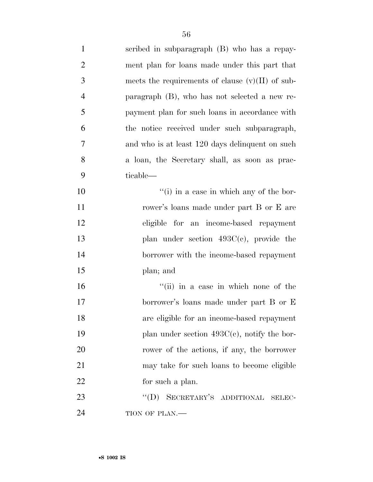| $\mathbf{1}$   | scribed in subparagraph (B) who has a repay-       |
|----------------|----------------------------------------------------|
| $\overline{2}$ | ment plan for loans made under this part that      |
| $\mathfrak{Z}$ | meets the requirements of clause $(v)(II)$ of sub- |
| $\overline{4}$ | paragraph (B), who has not selected a new re-      |
| 5              | payment plan for such loans in accordance with     |
| 6              | the notice received under such subparagraph,       |
| $\tau$         | and who is at least 120 days delinquent on such    |
| 8              | a loan, the Secretary shall, as soon as prac-      |
| 9              | ticable—                                           |
| 10             | "(i) in a case in which any of the bor-            |
| 11             | rower's loans made under part B or E are           |
| 12             | eligible for an income-based repayment             |
| 13             | plan under section $493C(e)$ , provide the         |
| 14             | borrower with the income-based repayment           |
| 15             | plan; and                                          |
| 16             | "(ii) in a case in which none of the               |
| 17             | borrower's loans made under part B or E            |
| 18             | are eligible for an income-based repayment         |
| 19             | plan under section $493C(e)$ , notify the bor-     |
| 20             | rower of the actions, if any, the borrower         |
| 21             | may take for such loans to become eligible         |
| 22             | for such a plan.                                   |
| 23             | "(D) SECRETARY'S ADDITIONAL<br>SELEC-              |
| 24             | TION OF PLAN.-                                     |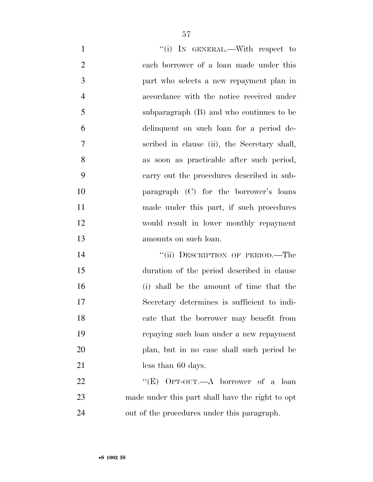| $\mathbf{1}$   | "(i) IN GENERAL.—With respect to                 |
|----------------|--------------------------------------------------|
| $\overline{2}$ | each borrower of a loan made under this          |
| 3              | part who selects a new repayment plan in         |
| $\overline{4}$ | accordance with the notice received under        |
| 5              | subparagraph (B) and who continues to be         |
| 6              | delinquent on such loan for a period de-         |
| 7              | scribed in clause (ii), the Secretary shall,     |
| 8              | as soon as practicable after such period,        |
| 9              | carry out the procedures described in sub-       |
| 10             | paragraph (C) for the borrower's loans           |
| 11             | made under this part, if such procedures         |
| 12             | would result in lower monthly repayment          |
| 13             | amounts on such loan.                            |
| 14             | "(ii) DESCRIPTION OF PERIOD.—The                 |
| 15             | duration of the period described in clause       |
| 16             | (i) shall be the amount of time that the         |
| 17             | Secretary determines is sufficient to indi-      |
| 18             | cate that the borrower may benefit from          |
| 19             | repaying such loan under a new repayment         |
| 20             | plan, but in no case shall such period be        |
|                |                                                  |
| 21             | less than 60 days.                               |
| 22             | "(E) OPT-OUT.—A borrower of a loan               |
| 23             | made under this part shall have the right to opt |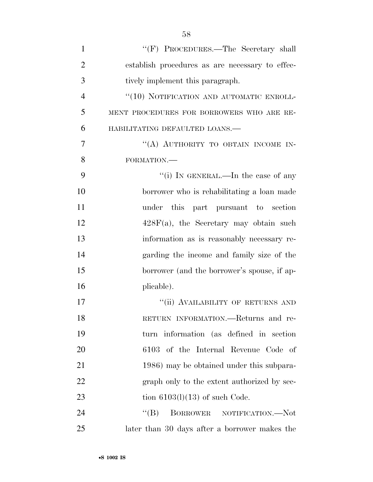| $\mathbf{1}$   | "(F) PROCEDURES.—The Secretary shall            |
|----------------|-------------------------------------------------|
| $\overline{2}$ | establish procedures as are necessary to effec- |
| 3              | tively implement this paragraph.                |
| $\overline{4}$ | "(10) NOTIFICATION AND AUTOMATIC ENROLL-        |
| 5              | MENT PROCEDURES FOR BORROWERS WHO ARE RE-       |
| 6              | HABILITATING DEFAULTED LOANS.-                  |
| 7              | "(A) AUTHORITY TO OBTAIN INCOME IN-             |
| 8              | FORMATION.-                                     |
| 9              | "(i) IN GENERAL.—In the case of any             |
| 10             | borrower who is rehabilitating a loan made      |
| 11             | under this part pursuant to section             |
| 12             | $428F(a)$ , the Secretary may obtain such       |
| 13             | information as is reasonably necessary re-      |
| 14             | garding the income and family size of the       |
| 15             | borrower (and the borrower's spouse, if ap-     |
| 16             | plicable).                                      |
| 17             | "(ii) AVAILABILITY OF RETURNS AND               |
| 18             | RETURN INFORMATION.—Returns and re-             |
| 19             | turn information (as defined in section         |
| 20             | 6103 of the Internal Revenue Code of            |
| 21             | 1986) may be obtained under this subpara-       |
| 22             | graph only to the extent authorized by sec-     |
| 23             | tion $6103(l)(13)$ of such Code.                |
| 24             | $\lq\lq (B)$<br>BORROWER NOTIFICATION.-Not      |
| 25             | later than 30 days after a borrower makes the   |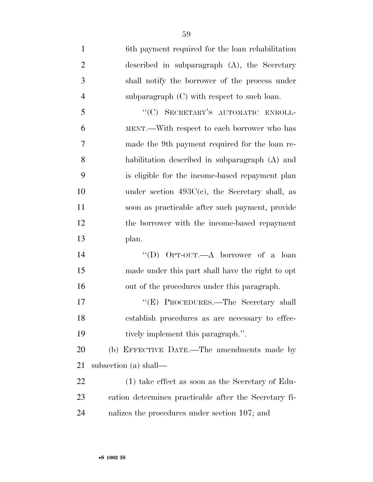6th payment required for the loan rehabilitation described in subparagraph (A), the Secretary shall notify the borrower of the process under subparagraph (C) with respect to such loan. 5 "(C) SECRETARY'S AUTOMATIC ENROLL- MENT.—With respect to each borrower who has made the 9th payment required for the loan re- habilitation described in subparagraph (A) and is eligible for the income-based repayment plan under section 493C(c), the Secretary shall, as soon as practicable after such payment, provide the borrower with the income-based repayment plan. ''(D) OPT-OUT.—A borrower of a loan made under this part shall have the right to opt out of the procedures under this paragraph. 17 "'(E) PROCEDURES.—The Secretary shall establish procedures as are necessary to effec- tively implement this paragraph.''. (b) EFFECTIVE DATE.—The amendments made by subsection (a) shall— (1) take effect as soon as the Secretary of Edu-cation determines practicable after the Secretary fi-

nalizes the procedures under section 107; and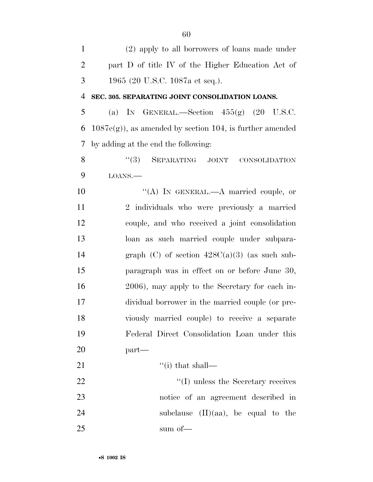(2) apply to all borrowers of loans made under part D of title IV of the Higher Education Act of 1965 (20 U.S.C. 1087a et seq.). **SEC. 305. SEPARATING JOINT CONSOLIDATION LOANS.**  5 (a) IN GENERAL.—Section  $455(g)$  (20 U.S.C. 6 1087e(g)), as amended by section 104, is further amended by adding at the end the following: 8 "(3) SEPARATING JOINT CONSOLIDATION LOANS.— 10 "(A) IN GENERAL.—A married couple, or 2 individuals who were previously a married couple, and who received a joint consolidation loan as such married couple under subpara-14 graph (C) of section  $428C(a)(3)$  (as such sub- paragraph was in effect on or before June 30, 2006), may apply to the Secretary for each in- dividual borrower in the married couple (or pre- viously married couple) to receive a separate Federal Direct Consolidation Loan under this part— 21  $\frac{((i) \text{ that shall}}{(i)}$ 22 ''(I) unless the Secretary receives notice of an agreement described in 24 subclause (II)(aa), be equal to the 25 sum of —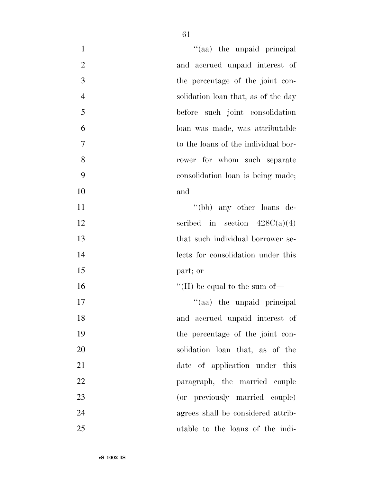| "(aa) the unpaid principal<br>$\mathbf{1}$            |  |
|-------------------------------------------------------|--|
| $\overline{2}$<br>and accrued unpaid interest of      |  |
| 3<br>the percentage of the joint con-                 |  |
| $\overline{4}$<br>solidation loan that, as of the day |  |
| 5<br>before such joint consolidation                  |  |
| 6<br>loan was made, was attributable                  |  |
| $\overline{7}$<br>to the loans of the individual bor- |  |
| 8<br>rower for whom such separate                     |  |
| 9<br>consolidation loan is being made;                |  |
| 10<br>and                                             |  |
| 11<br>"(bb) any other loans de-                       |  |
| 12<br>scribed in section $428C(a)(4)$                 |  |
| 13<br>that such individual borrower se-               |  |
| 14<br>lects for consolidation under this              |  |
| 15<br>part; or                                        |  |
| 16<br>"(II) be equal to the sum of $\equiv$           |  |
| 17<br>"(aa) the unpaid principal                      |  |
| and accrued unpaid interest of<br>18                  |  |
| 19<br>the percentage of the joint con-                |  |
| 20<br>solidation loan that, as of the                 |  |
| 21<br>date of application under this                  |  |
| 22<br>paragraph, the married couple                   |  |
| 23<br>(or previously married couple)                  |  |
| 24<br>agrees shall be considered attrib-              |  |
| 25<br>utable to the loans of the indi-                |  |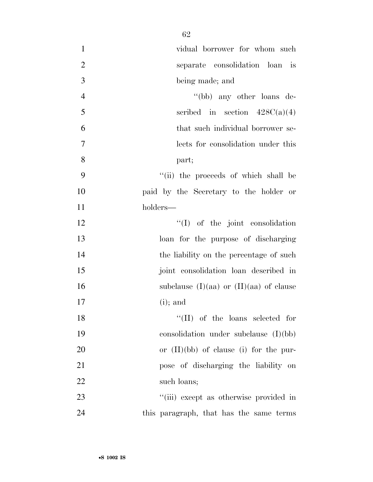| $\mathbf{1}$   | vidual borrower for whom such               |
|----------------|---------------------------------------------|
| $\overline{2}$ | separate consolidation loan is              |
| 3              | being made; and                             |
| $\overline{4}$ | "(bb) any other loans de-                   |
| 5              | scribed in section $428C(a)(4)$             |
| 6              | that such individual borrower se-           |
| $\tau$         | lects for consolidation under this          |
| 8              | part;                                       |
| 9              | "(ii) the proceeds of which shall be        |
| 10             | paid by the Secretary to the holder or      |
| 11             | holders—                                    |
| 12             | $\lq\lq$ of the joint consolidation         |
| 13             | loan for the purpose of discharging         |
| 14             | the liability on the percentage of such     |
| 15             | joint consolidation loan described in       |
| 16             | subclause $(I)(aa)$ or $(II)(aa)$ of clause |
| 17             | $(i)$ ; and                                 |
| 18             | $``(II)$ of the loans selected for          |
| 19             | consolidation under subclause $(I)(bb)$     |
| 20             | or $(II)(bb)$ of clause (i) for the pur-    |
| 21             | pose of discharging the liability on        |
| 22             | such loans;                                 |
| 23             | "(iii) except as otherwise provided in      |
| 24             | this paragraph, that has the same terms     |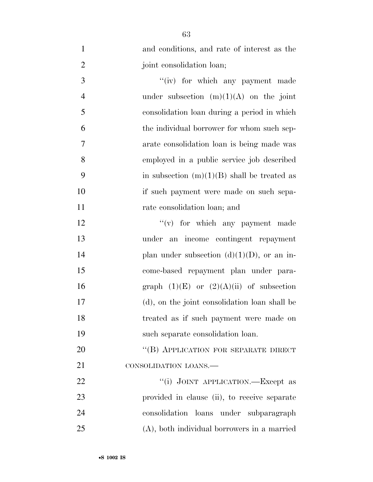| $\mathbf{1}$   | and conditions, and rate of interest as the   |
|----------------|-----------------------------------------------|
| $\overline{2}$ | joint consolidation loan;                     |
| 3              | "(iv) for which any payment made              |
| $\overline{4}$ | under subsection $(m)(1)(A)$ on the joint     |
| 5              | consolidation loan during a period in which   |
| 6              | the individual borrower for whom such sep-    |
| 7              | arate consolidation loan is being made was    |
| 8              | employed in a public service job described    |
| 9              | in subsection $(m)(1)(B)$ shall be treated as |
| 10             | if such payment were made on such sepa-       |
| 11             | rate consolidation loan; and                  |
| 12             | $f'(v)$ for which any payment made            |
| 13             | under an income contingent repayment          |
| 14             | plan under subsection $(d)(1)(D)$ , or an in- |
| 15             | come-based repayment plan under para-         |
| 16             | graph $(1)(E)$ or $(2)(A)(ii)$ of subsection  |
| 17             | (d), on the joint consolidation loan shall be |
| 18             | treated as if such payment were made on       |
| 19             | such separate consolidation loan.             |
| 20             | "(B) APPLICATION FOR SEPARATE DIRECT          |
| 21             | CONSOLIDATION LOANS.                          |
| 22             | "(i) JOINT APPLICATION.—Except as             |
| 23             | provided in clause (ii), to receive separate  |
| 24             | consolidation loans under subparagraph        |
| 25             | (A), both individual borrowers in a married   |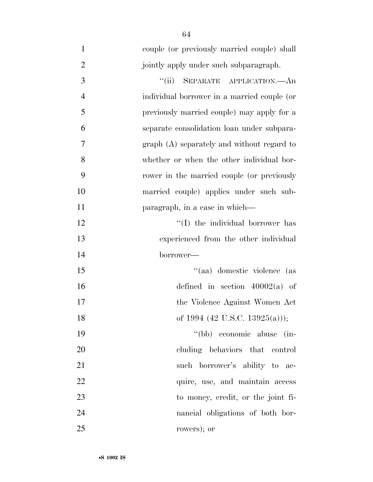| $\mathbf{1}$   | couple (or previously married couple) shall |
|----------------|---------------------------------------------|
| $\overline{2}$ | jointly apply under such subparagraph.      |
| 3              | SEPARATE APPLICATION. An<br>``(ii)          |
| $\overline{4}$ | individual borrower in a married couple (or |
| 5              | previously married couple) may apply for a  |
| 6              | separate consolidation loan under subpara-  |
| 7              | graph (A) separately and without regard to  |
| 8              | whether or when the other individual bor-   |
| 9              | rower in the married couple (or previously  |
| 10             | married couple) applies under such sub-     |
| 11             | paragraph, in a case in which—              |
| 12             | "(I) the individual borrower has            |
| 13             | experienced from the other individual       |
| 14             | borrower—                                   |
| 15             | "(aa) domestic violence (as                 |
| 16             | defined in section $40002(a)$ of            |
| 17             | the Violence Against Women Act              |
| 18             | of 1994 (42 U.S.C. 13925(a)));              |
| 19             | "(bb) economic abuse<br>$\sin$              |
| 20             | cluding behaviors that control              |
| 21             | such borrower's ability to ac-              |
| 22             | quire, use, and maintain access             |
| 23             | to money, credit, or the joint fi-          |
| 24             | nancial obligations of both bor-            |
| 25             | rowers); or                                 |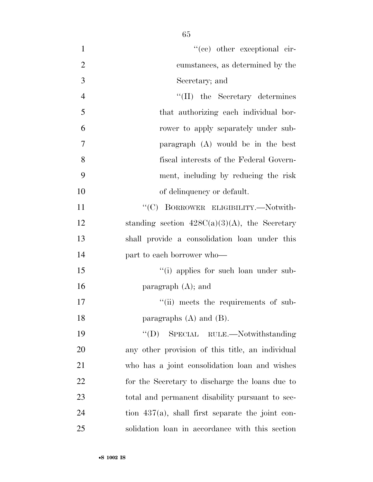| $\mathbf{1}$   | $f'(ce)$ other exceptional cir-                     |
|----------------|-----------------------------------------------------|
| $\mathfrak{2}$ | cumstances, as determined by the                    |
| 3              | Secretary; and                                      |
| $\overline{4}$ | $\lq\lq$ (II) the Secretary determines              |
| 5              | that authorizing each individual bor-               |
| 6              | rower to apply separately under sub-                |
| 7              | paragraph (A) would be in the best                  |
| 8              | fiscal interests of the Federal Govern-             |
| 9              | ment, including by reducing the risk                |
| 10             | of delinquency or default.                          |
| 11             | "(C) BORROWER ELIGIBILITY.-Notwith-                 |
| 12             | standing section $428C(a)(3)(A)$ , the Secretary    |
| 13             | shall provide a consolidation loan under this       |
| 14             | part to each borrower who-                          |
| 15             | "(i) applies for such loan under sub-               |
| 16             | paragraph $(A)$ ; and                               |
| 17             | "(ii) meets the requirements of sub-                |
| 18             | paragraphs $(A)$ and $(B)$ .                        |
| 19             | $\lq\lq$ (D) SPECIAL RULE.—Notwithstanding          |
| 20             | any other provision of this title, an individual    |
| 21             | who has a joint consolidation loan and wishes       |
| 22             | for the Secretary to discharge the loans due to     |
| 23             | total and permanent disability pursuant to sec-     |
| 24             | tion $437(a)$ , shall first separate the joint con- |
| 25             | solidation loan in accordance with this section     |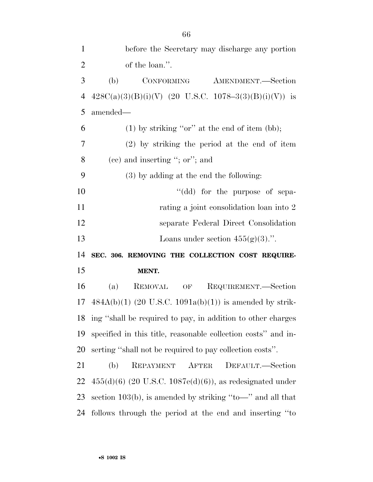| $\mathbf{1}$               | before the Secretary may discharge any portion                 |
|----------------------------|----------------------------------------------------------------|
| $\overline{2}$             | of the loan.".                                                 |
| 3                          | (b)<br>CONFORMING<br>AMENDMENT.—Section                        |
| $\overline{4}$             | $428C(a)(3)(B)(i)(V)$ (20 U.S.C. 1078-3(3)(B)(i)(V)) is        |
| 5                          | amended—                                                       |
| 6                          | $(1)$ by striking "or" at the end of item (bb);                |
| $\overline{7}$             | $(2)$ by striking the period at the end of item                |
| 8                          | $(ec)$ and inserting "; or"; and                               |
| 9                          | (3) by adding at the end the following:                        |
| 10                         | "(dd) for the purpose of sepa-                                 |
| 11                         | rating a joint consolidation loan into 2                       |
| 12                         | separate Federal Direct Consolidation                          |
|                            |                                                                |
|                            | Loans under section $455(g)(3)$ .".                            |
|                            | SEC. 306. REMOVING THE COLLECTION COST REQUIRE-                |
|                            | MENT.                                                          |
|                            | REQUIREMENT.—Section<br>(a)<br><b>REMOVAL</b><br>OF            |
|                            | $484A(b)(1)$ (20 U.S.C. 1091a(b)(1)) is amended by strik-      |
| 13<br>14<br>15<br>16<br>17 | 18 ing "shall be required to pay, in addition to other charges |
| 19                         | specified in this title, reasonable collection costs" and in-  |
| 20                         | serting "shall not be required to pay collection costs".       |
| 21                         | (b)<br>REPAYMENT AFTER<br>DEFAULT.—Section                     |
| 22                         | $455(d)(6)$ (20 U.S.C. 1087e(d)(6)), as redesignated under     |
| 23                         | section 103(b), is amended by striking "to-" and all that      |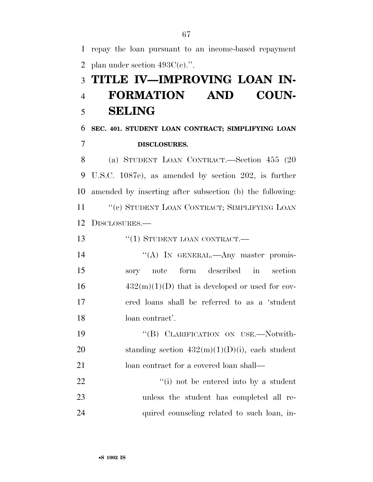1 repay the loan pursuant to an income-based repayment 2 plan under section  $493C(e)$ .". 3 **TITLE IV—IMPROVING LOAN IN-**4 **FORMATION AND COUN-**5 **SELING**  6 **SEC. 401. STUDENT LOAN CONTRACT; SIMPLIFYING LOAN**  7 **DISCLOSURES.**  8 (a) STUDENT LOAN CONTRACT.—Section 455 (20 9 U.S.C. 1087e), as amended by section 202, is further 10 amended by inserting after subsection (b) the following: 11 "(c) STUDENT LOAN CONTRACT; SIMPLIFYING LOAN 12 DISCLOSURES.— 13 "(1) STUDENT LOAN CONTRACT.— 14 "(A) In GENERAL.—Any master promis-15 sory note form described in section  $16 \qquad \qquad 432(m)(1)(D)$  that is developed or used for cov-17 ered loans shall be referred to as a 'student 18 loan contract'. 19 "(B) CLARIFICATION ON USE.—Notwith-20 standing section  $432(m)(1)(D)(i)$ , each student 21 loan contract for a covered loan shall— 22  $\frac{1}{1}$  not be entered into by a student 23 unless the student has completed all re-24 quired counseling related to such loan, in-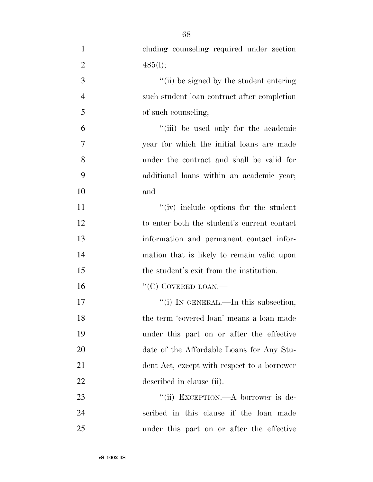| $\mathbf{1}$   | cluding counseling required under section   |
|----------------|---------------------------------------------|
| $\overline{2}$ | 485(l);                                     |
| 3              | "(ii) be signed by the student entering     |
| $\overline{4}$ | such student loan contract after completion |
| 5              | of such counseling;                         |
| 6              | "(iii) be used only for the academic        |
| 7              | year for which the initial loans are made   |
| 8              | under the contract and shall be valid for   |
| 9              | additional loans within an academic year;   |
| 10             | and                                         |
| 11             | "(iv) include options for the student       |
| 12             | to enter both the student's current contact |
| 13             | information and permanent contact infor-    |
| 14             | mation that is likely to remain valid upon  |
| 15             | the student's exit from the institution.    |
| 16             | $``(C)$ COVERED LOAN.—                      |
| 17             | "(i) IN GENERAL.—In this subsection,        |
| 18             | the term 'covered loan' means a loan made   |
| 19             | under this part on or after the effective   |
| 20             | date of the Affordable Loans for Any Stu-   |
| 21             | dent Act, except with respect to a borrower |
| 22             | described in clause (ii).                   |
| 23             | "(ii) EXCEPTION.—A borrower is de-          |
| 24             | scribed in this clause if the loan made     |
| 25             | under this part on or after the effective   |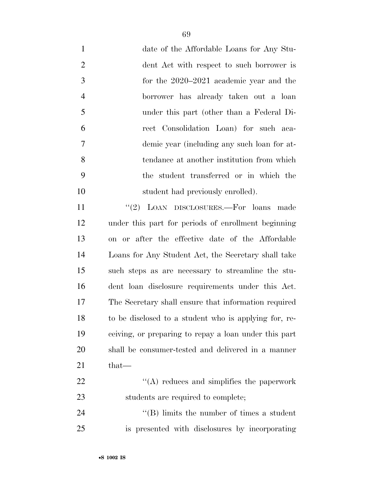date of the Affordable Loans for Any Stu- dent Act with respect to such borrower is for the 2020–2021 academic year and the borrower has already taken out a loan under this part (other than a Federal Di- rect Consolidation Loan) for such aca- demic year (including any such loan for at- tendance at another institution from which the student transferred or in which the 10 student had previously enrolled).

11 "(2) LOAN DISCLOSURES.—For loans made under this part for periods of enrollment beginning on or after the effective date of the Affordable Loans for Any Student Act, the Secretary shall take such steps as are necessary to streamline the stu- dent loan disclosure requirements under this Act. The Secretary shall ensure that information required to be disclosed to a student who is applying for, re- ceiving, or preparing to repay a loan under this part shall be consumer-tested and delivered in a manner that—  $\langle (A) \rangle$  reduces and simplifies the paperwork

23 students are required to complete;

24 ''(B) limits the number of times a student is presented with disclosures by incorporating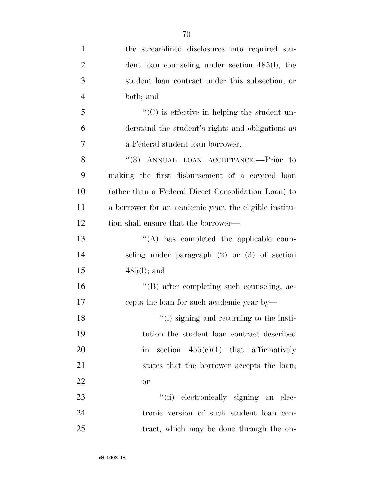| $\mathbf{1}$   | the streamlined disclosures into required stu-         |
|----------------|--------------------------------------------------------|
| $\overline{2}$ | dent loan counseling under section 485(l), the         |
| 3              | student loan contract under this subsection, or        |
| $\overline{4}$ | both; and                                              |
| 5              | $\lq\lq$ (C) is effective in helping the student un-   |
| 6              | derstand the student's rights and obligations as       |
| $\overline{7}$ | a Federal student loan borrower.                       |
| 8              | "(3) ANNUAL LOAN ACCEPTANCE.—Prior to                  |
| 9              | making the first disbursement of a covered loan        |
| 10             | (other than a Federal Direct Consolidation Loan) to    |
| 11             | a borrower for an academic year, the eligible institu- |
| 12             | tion shall ensure that the borrower—                   |
| 13             | "(A) has completed the applicable coun-                |
| 14             | seling under paragraph $(2)$ or $(3)$ of section       |
| 15             | $485(l)$ ; and                                         |
| 16             | "(B) after completing such counseling, ac-             |
| 17             | cepts the loan for such academic year by—              |
| 18             | "(i) signing and returning to the insti-               |
| 19             | tution the student loan contract described             |
| 20             | section $455(e)(1)$ that affirmatively<br>in           |
| 21             | states that the borrower accepts the loan;             |
| 22             | or                                                     |
| 23             | "(ii) electronically signing an elec-                  |
| 24             | tronic version of such student loan con-               |
| 25             | tract, which may be done through the on-               |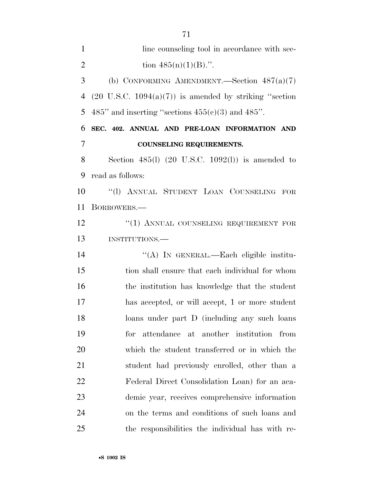1 line counseling tool in accordance with sec-2 tion  $485(n)(1)(B)$ .". (b) CONFORMING AMENDMENT.—Section 487(a)(7) 4 (20 U.S.C.  $1094(a)(7)$ ) is amended by striking "section 5 485" and inserting "sections  $455(c)(3)$  and  $485"$ . **SEC. 402. ANNUAL AND PRE-LOAN INFORMATION AND COUNSELING REQUIREMENTS.**  Section 485(l) (20 U.S.C. 1092(l)) is amended to read as follows: ''(l) ANNUAL STUDENT LOAN COUNSELING FOR BORROWERS.— 12 "(1) ANNUAL COUNSELING REQUIREMENT FOR INSTITUTIONS.— ''(A) IN GENERAL.—Each eligible institu- tion shall ensure that each individual for whom the institution has knowledge that the student has accepted, or will accept, 1 or more student loans under part D (including any such loans for attendance at another institution from which the student transferred or in which the student had previously enrolled, other than a Federal Direct Consolidation Loan) for an aca- demic year, receives comprehensive information on the terms and conditions of such loans and the responsibilities the individual has with re-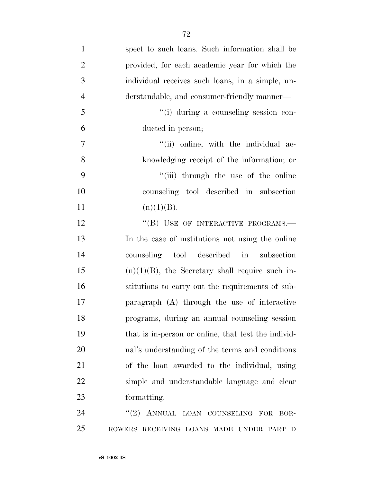| $\mathbf{1}$     | spect to such loans. Such information shall be      |
|------------------|-----------------------------------------------------|
| $\overline{2}$   | provided, for each academic year for which the      |
| $\mathfrak{Z}$   | individual receives such loans, in a simple, un-    |
| $\overline{4}$   | derstandable, and consumer-friendly manner—         |
| 5                | "(i) during a counseling session con-               |
| 6                | ducted in person;                                   |
| $\boldsymbol{7}$ | "(ii) online, with the individual ac-               |
| 8                | knowledging receipt of the information; or          |
| 9                | "(iii) through the use of the online                |
| 10               | counseling tool described in subsection             |
| 11               | (n)(1)(B).                                          |
| 12               | "(B) USE OF INTERACTIVE PROGRAMS.-                  |
| 13               | In the case of institutions not using the online    |
| 14               | counseling tool described in<br>subsection          |
| 15               | $(n)(1)(B)$ , the Secretary shall require such in-  |
| 16               | stitutions to carry out the requirements of sub-    |
| 17               | paragraph (A) through the use of interactive        |
| 18               | programs, during an annual counseling session       |
| 19               | that is in-person or online, that test the individ- |
| 20               | ual's understanding of the terms and conditions     |
| 21               | of the loan awarded to the individual, using        |
| 22               | simple and understandable language and clear        |
| 23               | formatting.                                         |
| 24               | "(2) ANNUAL LOAN COUNSELING FOR<br>BOR-             |
| 25               | ROWERS RECEIVING LOANS MADE UNDER PART D            |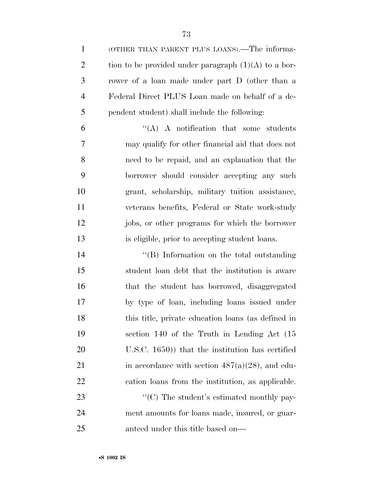(OTHER THAN PARENT PLUS LOANS).—The informa-2 tion to be provided under paragraph  $(1)(A)$  to a bor- rower of a loan made under part D (other than a Federal Direct PLUS Loan made on behalf of a de- pendent student) shall include the following: ''(A) A notification that some students may qualify for other financial aid that does not need to be repaid, and an explanation that the borrower should consider accepting any such grant, scholarship, military tuition assistance, veterans benefits, Federal or State work-study jobs, or other programs for which the borrower is eligible, prior to accepting student loans. 14 ''(B) Information on the total outstanding student loan debt that the institution is aware that the student has borrowed, disaggregated by type of loan, including loans issued under this title, private education loans (as defined in section 140 of the Truth in Lending Act (15 U.S.C. 1650)) that the institution has certified 21 in accordance with section  $487(a)(28)$ , and edu- cation loans from the institution, as applicable.  $\cdot$  (C) The student's estimated monthly pay-ment amounts for loans made, insured, or guar-

anteed under this title based on—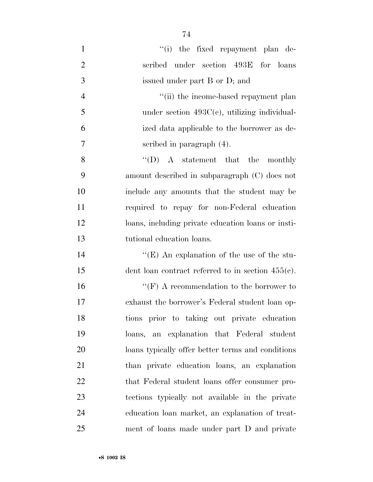$\cdot$  (i) the fixed repayment plan de- scribed under section 493E for loans issued under part B or D; and 4 ''(ii) the income-based repayment plan under section 493C(c), utilizing individual- ized data applicable to the borrower as de- scribed in paragraph (4). 8 "(D) A statement that the monthly amount described in subparagraph (C) does not include any amounts that the student may be required to repay for non-Federal education loans, including private education loans or insti- tutional education loans. 14 ''(E) An explanation of the use of the stu- dent loan contract referred to in section 455(c). 16 ''(F) A recommendation to the borrower to exhaust the borrower's Federal student loan op- tions prior to taking out private education loans, an explanation that Federal student

loans typically offer better terms and conditions

than private education loans, an explanation

22 that Federal student loans offer consumer pro-

tections typically not available in the private

education loan market, an explanation of treat-

ment of loans made under part D and private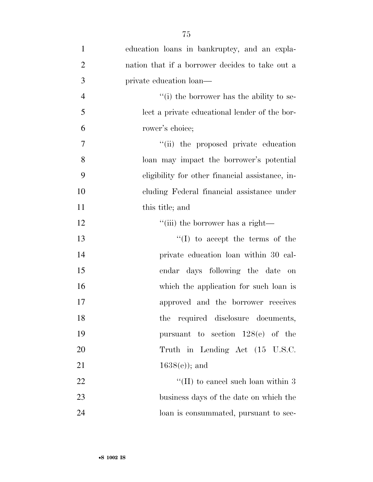| $\mathbf{1}$   | education loans in bankruptcy, and an expla-    |
|----------------|-------------------------------------------------|
| $\overline{2}$ | nation that if a borrower decides to take out a |
| 3              | private education loan—                         |
| $\overline{4}$ | $f'(i)$ the borrower has the ability to se-     |
| 5              | lect a private educational lender of the bor-   |
| 6              | rower's choice;                                 |
| $\overline{7}$ | "(ii) the proposed private education            |
| 8              | loan may impact the borrower's potential        |
| 9              | eligibility for other financial assistance, in- |
| 10             | cluding Federal financial assistance under      |
| 11             | this title; and                                 |
| 12             | "(iii) the borrower has a right—                |
| 13             | $\lq\lq$ (I) to accept the terms of the         |
| 14             | private education loan within 30 cal-           |
| 15             | endar days following the date<br>on             |
| 16             | which the application for such loan is          |
| 17             | approved and the borrower receives              |
| 18             | the required disclosure documents,              |
| 19             | pursuant to section $128(e)$ of the             |
| 20             | Truth in Lending Act (15 U.S.C.                 |
| 21             | $1638(e)$ ; and                                 |
| 22             | "(II) to cancel such loan within $3$            |
| 23             | business days of the date on which the          |
| 24             | loan is consummated, pursuant to sec-           |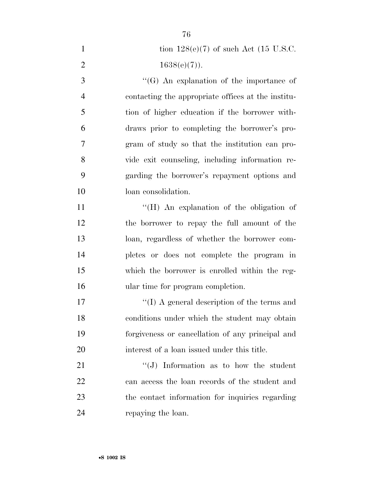| $\mathbf{1}$   | tion $128(e)(7)$ of such Act (15 U.S.C.            |
|----------------|----------------------------------------------------|
| $\mathbf{2}$   | $1638(e)(7)$ ).                                    |
| $\overline{3}$ | $\lq\lq(G)$ An explanation of the importance of    |
| $\overline{4}$ | contacting the appropriate offices at the institu- |
| 5              | tion of higher education if the borrower with-     |
| 6              | draws prior to completing the borrower's pro-      |
| $\tau$         | gram of study so that the institution can pro-     |
| 8              | vide exit counseling, including information re-    |
| 9              | garding the borrower's repayment options and       |
| 10             | loan consolidation.                                |
| 11             | "(H) An explanation of the obligation of           |
| 12             | the borrower to repay the full amount of the       |
| 13             | loan, regardless of whether the borrower com-      |
| 14             | pletes or does not complete the program in         |
| 15             | which the borrower is enrolled within the reg-     |
| 16             | ular time for program completion.                  |
| 17             | "(I) A general description of the terms and        |
| 18             | conditions under which the student may obtain      |
| 19             | forgiveness or cancellation of any principal and   |
| 20             | interest of a loan issued under this title.        |
| 21             | $``(J)$ Information as to how the student          |
| 22             | can access the loan records of the student and     |
| 23             | the contact information for inquiries regarding    |
| 24             | repaying the loan.                                 |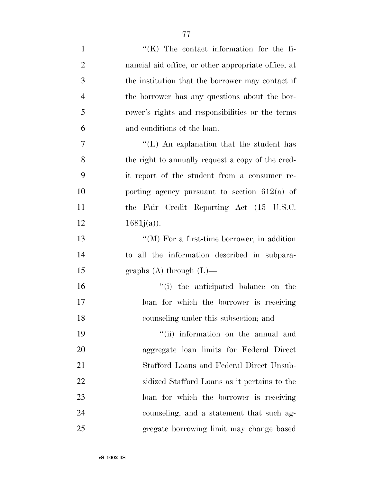1  $\langle K \rangle$  The contact information for the fi-nancial aid office, or other appropriate office, at

 the institution that the borrower may contact if the borrower has any questions about the bor- rower's rights and responsibilities or the terms and conditions of the loan.

 $''(L)$  An explanation that the student has the right to annually request a copy of the cred- it report of the student from a consumer re- porting agency pursuant to section 612(a) of the Fair Credit Reporting Act (15 U.S.C.  $1681j(a)$ ).

 ''(M) For a first-time borrower, in addition to all the information described in subpara-graphs (A) through (L)—

 ''(i) the anticipated balance on the loan for which the borrower is receiving counseling under this subsection; and

19 ''(ii) information on the annual and aggregate loan limits for Federal Direct Stafford Loans and Federal Direct Unsub- sidized Stafford Loans as it pertains to the loan for which the borrower is receiving counseling, and a statement that such ag-gregate borrowing limit may change based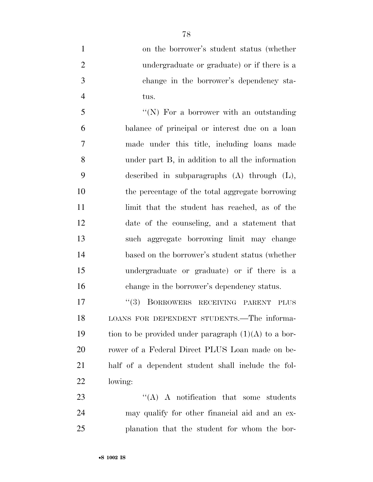on the borrower's student status (whether undergraduate or graduate) or if there is a change in the borrower's dependency sta-tus.

5 "(N) For a borrower with an outstanding balance of principal or interest due on a loan made under this title, including loans made under part B, in addition to all the information described in subparagraphs (A) through (L), the percentage of the total aggregate borrowing 11 limit that the student has reached, as of the date of the counseling, and a statement that such aggregate borrowing limit may change based on the borrower's student status (whether undergraduate or graduate) or if there is a change in the borrower's dependency status.

17 "(3) BORROWERS RECEIVING PARENT PLUS LOANS FOR DEPENDENT STUDENTS.—The informa-19 tion to be provided under paragraph  $(1)(A)$  to a bor- rower of a Federal Direct PLUS Loan made on be- half of a dependent student shall include the fol-lowing:

23 "'(A) A notification that some students may qualify for other financial aid and an ex-planation that the student for whom the bor-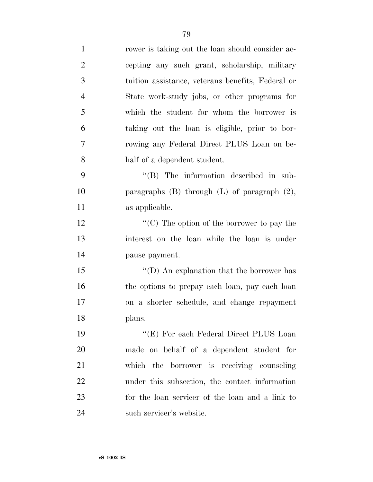| $\mathbf{1}$   | rower is taking out the loan should consider ac-    |
|----------------|-----------------------------------------------------|
| $\overline{2}$ | cepting any such grant, scholarship, military       |
| 3              | tuition assistance, veterans benefits, Federal or   |
| $\overline{4}$ | State work-study jobs, or other programs for        |
| 5              | which the student for whom the borrower is          |
| 6              | taking out the loan is eligible, prior to bor-      |
| 7              | rowing any Federal Direct PLUS Loan on be-          |
| 8              | half of a dependent student.                        |
| 9              | $\lq\lq$ (B) The information described in sub-      |
| 10             | paragraphs $(B)$ through $(L)$ of paragraph $(2)$ , |
| 11             | as applicable.                                      |
| 12             | "(C) The option of the borrower to pay the          |
| 13             | interest on the loan while the loan is under        |
| 14             | pause payment.                                      |
| 15             | "(D) An explanation that the borrower has           |
| 16             | the options to prepay each loan, pay each loan      |
| 17             | on a shorter schedule, and change repayment         |
| 18             | plans.                                              |
| 19             | "(E) For each Federal Direct PLUS Loan              |
| <b>20</b>      | made on behalf of a dependent student for           |
| 21             | which the borrower is receiving counseling          |
| 22             | under this subsection, the contact information      |
| 23             | for the loan servicer of the loan and a link to     |
| 24             | such servicer's website.                            |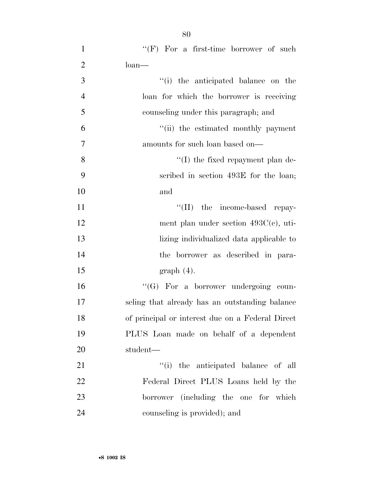| $\mathbf{1}$   | " $(F)$ For a first-time borrower of such        |
|----------------|--------------------------------------------------|
| $\overline{2}$ | $\lambda$ loan                                   |
| 3              | "(i) the anticipated balance on the              |
| $\overline{4}$ | loan for which the borrower is receiving         |
| 5              | counseling under this paragraph; and             |
| 6              | "(ii) the estimated monthly payment              |
| $\tau$         | amounts for such loan based on—                  |
| 8              | $\lq\lq$ (I) the fixed repayment plan de-        |
| 9              | scribed in section 493E for the loan;            |
| 10             | and                                              |
| 11             | $\lq\lq$ (II) the income-based repay-            |
| 12             | ment plan under section $493C(c)$ , uti-         |
| 13             | lizing individualized data applicable to         |
| 14             | the borrower as described in para-               |
| 15             | $graph(4)$ .                                     |
| 16             | $\lq\lq (G)$ For a borrower undergoing coun-     |
| 17             | seling that already has an outstanding balance   |
| 18             | of principal or interest due on a Federal Direct |
| 19             | PLUS Loan made on behalf of a dependent          |
| 20             | student—                                         |
| 21             | "(i) the anticipated balance of all              |
| 22             | Federal Direct PLUS Loans held by the            |
| 23             | borrower (including the one for which            |
| 24             | counseling is provided); and                     |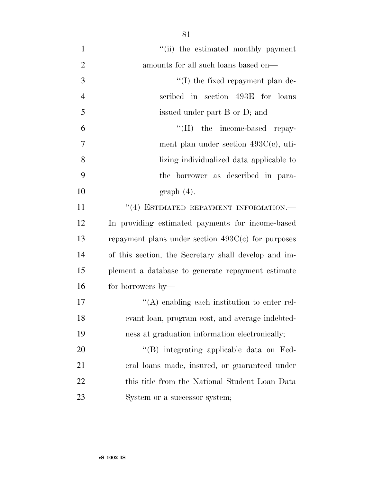| $\mathbf{1}$   | "(ii) the estimated monthly payment                  |
|----------------|------------------------------------------------------|
| $\overline{2}$ | amounts for all such loans based on—                 |
| 3              | $\lq\lq$ (I) the fixed repayment plan de-            |
| $\overline{4}$ | scribed in section 493E for loans                    |
| 5              | issued under part B or D; and                        |
| 6              | "(II) the income-based repay-                        |
| 7              | ment plan under section $493C(c)$ , uti-             |
| 8              | lizing individualized data applicable to             |
| 9              | the borrower as described in para-                   |
| 10             | $graph(4)$ .                                         |
| 11             | $``(4)$ ESTIMATED REPAYMENT INFORMATION.—            |
| 12             | In providing estimated payments for income-based     |
| 13             | repayment plans under section $493C(c)$ for purposes |
| 14             | of this section, the Secretary shall develop and im- |
| 15             | plement a database to generate repayment estimate    |
| 16             | for borrowers by—                                    |
| 17             | $\lq\lq$ enabling each institution to enter rel-     |
| 18             | evant loan, program cost, and average indebted-      |
| 19             | ness at graduation information electronically;       |
| 20             | "(B) integrating applicable data on Fed-             |
| 21             | eral loans made, insured, or guaranteed under        |
| 22             | this title from the National Student Loan Data       |
| 23             | System or a successor system;                        |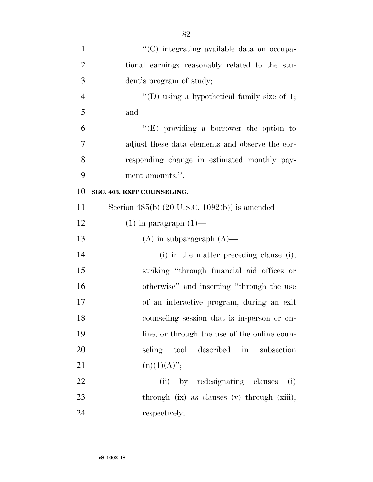| $\mathbf{1}$   | "(C) integrating available data on occupa-                |
|----------------|-----------------------------------------------------------|
| $\overline{2}$ | tional earnings reasonably related to the stu-            |
| 3              | dent's program of study;                                  |
| $\overline{4}$ | "(D) using a hypothetical family size of 1;               |
| 5              | and                                                       |
| 6              | "(E) providing a borrower the option to                   |
| 7              | adjust these data elements and observe the cor-           |
| 8              | responding change in estimated monthly pay-               |
| 9              | ment amounts.".                                           |
| 10             | SEC. 403. EXIT COUNSELING.                                |
| 11             | Section 485(b) $(20 \text{ U.S.C. } 1092(b))$ is amended— |
| 12             | $(1)$ in paragraph $(1)$ —                                |
| 13             | $(A)$ in subparagraph $(A)$ —                             |
| 14             | (i) in the matter preceding clause (i),                   |
| 15             | striking "through financial aid offices or                |
| 16             | otherwise" and inserting "through the use                 |
| 17             | of an interactive program, during an exit                 |
| 18             | counseling session that is in-person or on-               |
| 19             | line, or through the use of the online coun-              |
| 20             | seling tool described in<br>subsection                    |
| 21             | $(n)(1)(A)$ ";                                            |
| 22             | (ii) by redesignating clauses (i)                         |
| 23             | through (ix) as clauses (v) through (xiii),               |
| 24             | respectively;                                             |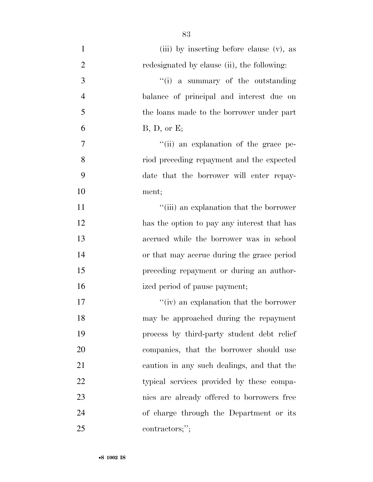| $\mathbf{1}$   | (iii) by inserting before clause (v), as    |
|----------------|---------------------------------------------|
| $\overline{2}$ | redesignated by clause (ii), the following: |
| $\mathfrak{Z}$ | "(i) a summary of the outstanding           |
| $\overline{4}$ | balance of principal and interest due on    |
| 5              | the loans made to the borrower under part   |
| 6              | B, D, or E;                                 |
| $\tau$         | "(ii) an explanation of the grace pe-       |
| 8              | riod preceding repayment and the expected   |
| 9              | date that the borrower will enter repay-    |
| 10             | ment;                                       |
| 11             | "(iii) an explanation that the borrower     |
| 12             | has the option to pay any interest that has |
| 13             | accrued while the borrower was in school    |
| 14             | or that may accrue during the grace period  |
| 15             | preceding repayment or during an author-    |
| 16             | ized period of pause payment;               |
| 17             | "(iv) an explanation that the borrower      |
| 18             | may be approached during the repayment      |
| 19             | process by third-party student debt relief  |
| 20             | companies, that the borrower should use     |
| 21             | caution in any such dealings, and that the  |
| 22             | typical services provided by these compa-   |
| 23             | nies are already offered to borrowers free  |
| 24             | of charge through the Department or its     |
| 25             | contractors;";                              |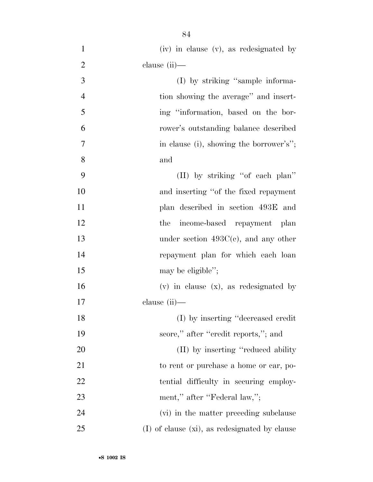| $\mathbf{1}$   | (iv) in clause (v), as redesignated by        |
|----------------|-----------------------------------------------|
| $\overline{2}$ | clause $(ii)$ —                               |
| 3              | (I) by striking "sample informa-              |
| $\overline{4}$ | tion showing the average" and insert-         |
| 5              | ing "information, based on the bor-           |
| 6              | rower's outstanding balance described         |
| 7              | in clause (i), showing the borrower's";       |
| 8              | and                                           |
| 9              | (II) by striking "of each plan"               |
| 10             | and inserting "of the fixed repayment         |
| 11             | plan described in section 493E and            |
| 12             | income-based repayment plan<br>the            |
| 13             | under section $493C(c)$ , and any other       |
| 14             | repayment plan for which each loan            |
| 15             | may be eligible";                             |
| 16             | $(v)$ in clause $(x)$ , as redesignated by    |
| 17             | clause (ii)—                                  |
| 18             | (I) by inserting "decreased credit"           |
| 19             | score," after "credit reports,"; and          |
| 20             | (II) by inserting "reduced ability"           |
| 21             | to rent or purchase a home or car, po-        |
| 22             | tential difficulty in securing employ-        |
| 23             | ment," after "Federal law,";                  |
| 24             | (vi) in the matter preceding subclause        |
| 25             | (I) of clause (xi), as redesignated by clause |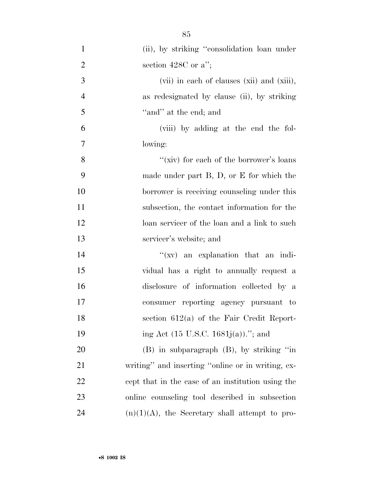| $\mathbf{1}$   | (ii), by striking "consolidation loan under       |
|----------------|---------------------------------------------------|
| $\overline{2}$ | section 428C or $a$ ";                            |
| 3              | (vii) in each of clauses (xii) and (xiii),        |
| $\overline{4}$ | as redesignated by clause (ii), by striking       |
| 5              | "and" at the end; and                             |
| 6              | (viii) by adding at the end the fol-              |
| $\tau$         | lowing:                                           |
| 8              | "(xiv) for each of the borrower's loans           |
| 9              | made under part $B$ , $D$ , or $E$ for which the  |
| 10             | borrower is receiving counseling under this       |
| 11             | subsection, the contact information for the       |
| 12             | loan servicer of the loan and a link to such      |
| 13             | servicer's website; and                           |
| 14             | $f(xv)$ an explanation that an indi-              |
| 15             | vidual has a right to annually request a          |
| 16             | disclosure of information collected by a          |
| 17             | consumer reporting agency pursuant to             |
| 18             | section $612(a)$ of the Fair Credit Report-       |
| 19             | ing Act $(15 \text{ U.S.C. } 1681j(a))$ ."; and   |
| <b>20</b>      | $(B)$ in subparagraph $(B)$ , by striking "in     |
| 21             | writing" and inserting "online or in writing, ex- |
| 22             | cept that in the case of an institution using the |
| 23             | online counseling tool described in subsection    |
| 24             | $(n)(1)(A)$ , the Secretary shall attempt to pro- |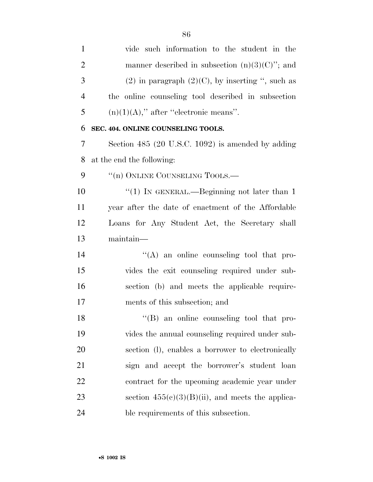vide such information to the student in the 2 manner described in subsection  $(n)(3)(C)$ "; and 3 (2) in paragraph  $(2)(C)$ , by inserting ", such as the online counseling tool described in subsection 5 (n)(1)(A)," after "electronic means". **SEC. 404. ONLINE COUNSELING TOOLS.**  Section 485 (20 U.S.C. 1092) is amended by adding at the end the following: 9 "(n) ONLINE COUNSELING TOOLS.— 10 "(1) IN GENERAL.—Beginning not later than 1 year after the date of enactment of the Affordable Loans for Any Student Act, the Secretary shall maintain—  $\langle (A)$  an online counseling tool that pro- vides the exit counseling required under sub- section (b) and meets the applicable require- ments of this subsection; and ''(B) an online counseling tool that pro- vides the annual counseling required under sub- section (l), enables a borrower to electronically sign and accept the borrower's student loan contract for the upcoming academic year under 23 section  $455(c)(3)(B)(ii)$ , and meets the applica-ble requirements of this subsection.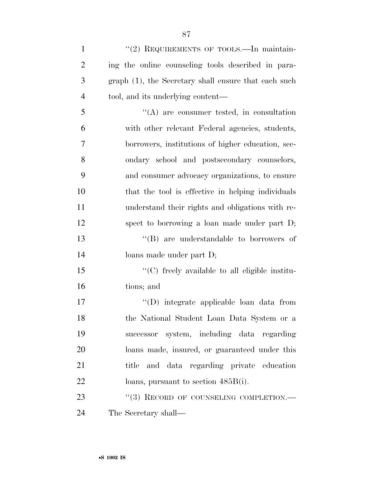| $\mathbf{1}$   | "(2) REQUIREMENTS OF TOOLS.—In maintain-             |
|----------------|------------------------------------------------------|
| $\overline{2}$ | ing the online counseling tools described in para-   |
| 3              | graph (1), the Secretary shall ensure that each such |
| $\overline{4}$ | tool, and its underlying content—                    |
| 5              | $\lq\lq$ are consumer tested, in consultation        |
| 6              | with other relevant Federal agencies, students,      |
| $\overline{7}$ | borrowers, institutions of higher education, sec-    |
| 8              | ondary school and postsecondary counselors,          |
| 9              | and consumer advocacy organizations, to ensure       |
| 10             | that the tool is effective in helping individuals    |
| 11             | understand their rights and obligations with re-     |
| 12             | spect to borrowing a loan made under part D;         |
| 13             | "(B) are understandable to borrowers of              |
| 14             | loans made under part D;                             |
| 15             | $\lq\lq$ freely available to all eligible institu-   |
| 16             | tions; and                                           |
| 17             | "(D) integrate applicable loan data from             |
| 18             | the National Student Loan Data System or a           |
| 19             | successor system, including data regarding           |
| 20             | loans made, insured, or guaranteed under this        |
|                |                                                      |

22 loans, pursuant to section 485B(i).

23 "(3) RECORD OF COUNSELING COMPLETION.— The Secretary shall—

title and data regarding private education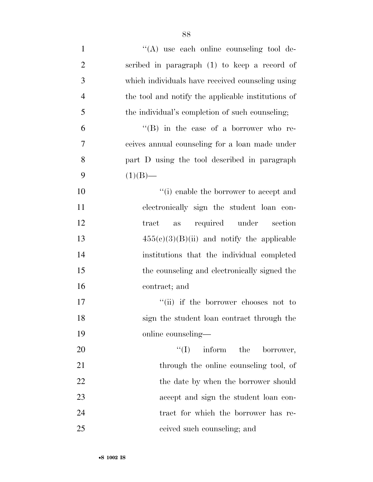| $\mathbf{1}$   | "(A) use each online counseling tool de-           |
|----------------|----------------------------------------------------|
| $\overline{2}$ | scribed in paragraph (1) to keep a record of       |
| $\mathfrak{Z}$ | which individuals have received counseling using   |
| $\overline{4}$ | the tool and notify the applicable institutions of |
| 5              | the individual's completion of such counseling;    |
| 6              | "(B) in the case of a borrower who re-             |
| $\tau$         | ceives annual counseling for a loan made under     |
| 8              | part D using the tool described in paragraph       |
| 9              | $(1)(B)$ —                                         |
| 10             | "(i) enable the borrower to accept and             |
| 11             | electronically sign the student loan con-          |
| 12             | required under<br>section<br>tract<br>as           |
| 13             | $455(e)(3)(B)(ii)$ and notify the applicable       |
| 14             | institutions that the individual completed         |
| 15             | the counseling and electronically signed the       |
| 16             | contract; and                                      |
| 17             | "(ii) if the borrower chooses not to               |
| 18             | sign the student loan contract through the         |
| 19             | online counseling-                                 |
| 20             | ``(I)<br>inform the<br>borrower,                   |
| 21             | through the online counseling tool, of             |
| 22             | the date by when the borrower should               |
| 23             | accept and sign the student loan con-              |
| 24             | tract for which the borrower has re-               |
| 25             | ceived such counseling; and                        |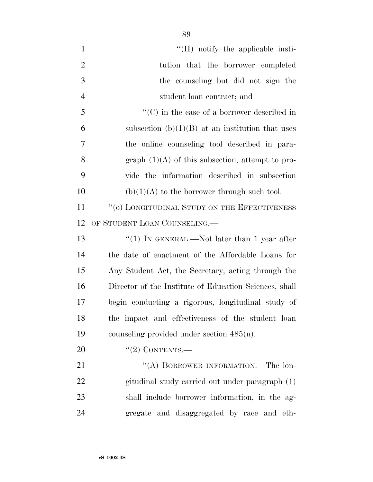$\lq(II)$  notify the applicable insti- tution that the borrower completed the counseling but did not sign the student loan contract; and

5  $\cdot$  (C) in the case of a borrower described in 6 subsection  $(b)(1)(B)$  at an institution that uses the online counseling tool described in para-8 graph  $(1)(A)$  of this subsection, attempt to pro- vide the information described in subsection 10 (b)(1)(A) to the borrower through such tool.

11 "(o) LONGITUDINAL STUDY ON THE EFFECTIVENESS OF STUDENT LOAN COUNSELING.—

13 "(1) IN GENERAL.—Not later than 1 year after the date of enactment of the Affordable Loans for Any Student Act, the Secretary, acting through the Director of the Institute of Education Sciences, shall begin conducting a rigorous, longitudinal study of the impact and effectiveness of the student loan counseling provided under section 485(n).

20 "(2) CONTENTS.—

21 "(A) BORROWER INFORMATION.—The lon- gitudinal study carried out under paragraph (1) shall include borrower information, in the ag-gregate and disaggregated by race and eth-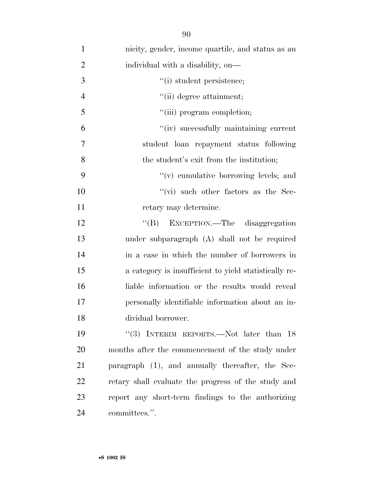| $\mathbf{1}$   | nicity, gender, income quartile, and status as an     |
|----------------|-------------------------------------------------------|
| $\overline{2}$ | individual with a disability, on—                     |
| 3              | "(i) student persistence;                             |
| $\overline{4}$ | "(ii) degree attainment;                              |
| 5              | "(iii) program completion;                            |
| 6              | "(iv) successfully maintaining current                |
| $\tau$         | student loan repayment status following               |
| 8              | the student's exit from the institution;              |
| 9              | "(v) cumulative borrowing levels; and                 |
| 10             | $\lq\lq$ such other factors as the Sec-               |
| 11             | retary may determine.                                 |
| 12             | "(B) EXCEPTION.—The disaggregation                    |
| 13             | under subparagraph (A) shall not be required          |
| 14             | in a case in which the number of borrowers in         |
| 15             | a category is insufficient to yield statistically re- |
| 16             | liable information or the results would reveal        |
| 17             | personally identifiable information about an in-      |
| 18             | dividual borrower.                                    |
| 19             | "(3) INTERIM REPORTS.—Not later than $18$             |
| 20             | months after the commencement of the study under      |
| 21             | paragraph (1), and annually thereafter, the Sec-      |
| 22             | retary shall evaluate the progress of the study and   |
| 23             | report any short-term findings to the authorizing     |
| 24             | committees.".                                         |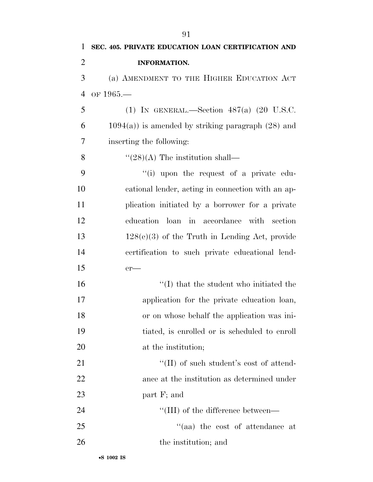| 1              | SEC. 405. PRIVATE EDUCATION LOAN CERTIFICATION AND      |
|----------------|---------------------------------------------------------|
| $\overline{2}$ | <b>INFORMATION.</b>                                     |
| 3              | (a) AMENDMENT TO THE HIGHER EDUCATION ACT               |
| $\overline{4}$ | OF $1965-$                                              |
| 5              | (1) IN GENERAL.—Section $487(a)$ (20 U.S.C.             |
| 6              | $1094(a)$ ) is amended by striking paragraph $(28)$ and |
| 7              | inserting the following:                                |
| 8              | $\cdot\cdot(28)$ (A) The institution shall—             |
| 9              | "(i) upon the request of a private edu-                 |
| 10             | cational lender, acting in connection with an ap-       |
| 11             | plication initiated by a borrower for a private         |
| 12             | education loan in accordance with section               |
| 13             | $128(e)(3)$ of the Truth in Lending Act, provide        |
| 14             | certification to such private educational lend-         |
| 15             | $er-$                                                   |
| 16             | $\lq\lq$ that the student who initiated the             |
| 17             | application for the private education loan,             |
| 18             | or on whose behalf the application was ini-             |
| 19             | tiated, is enrolled or is scheduled to enroll           |
| 20             | at the institution;                                     |
| 21             | $\lq\lq$ (II) of such student's cost of attend-         |
| 22             | ance at the institution as determined under             |
| 23             | part F; and                                             |
| 24             | $\lq\lq$ (III) of the difference between—               |
| 25             | "(aa) the cost of attendance at                         |
| 26             | the institution; and                                    |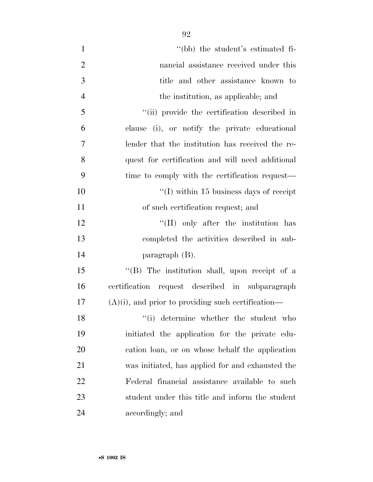| $\mathbf{1}$   | "(bb) the student's estimated fi-                     |
|----------------|-------------------------------------------------------|
| $\overline{2}$ | nancial assistance received under this                |
| 3              | title and other assistance known to                   |
| $\overline{4}$ | the institution, as applicable; and                   |
| 5              | "(ii) provide the certification described in          |
| 6              | clause (i), or notify the private educational         |
| 7              | lender that the institution has received the re-      |
| 8              | quest for certification and will need additional      |
| 9              | time to comply with the certification request—        |
| 10             | "(I) within 15 business days of receipt               |
| 11             | of such certification request; and                    |
| 12             | "(II) only after the institution has                  |
| 13             | completed the activities described in sub-            |
| 14             | paragraph $(B)$ .                                     |
| 15             | "(B) The institution shall, upon receipt of a         |
| 16             | certification request described in subparagraph       |
| 17             | $(A)(i)$ , and prior to providing such certification— |
| 18             | "(i) determine whether the student who                |
| 19             | initiated the application for the private edu-        |
| 20             | cation loan, or on whose behalf the application       |
| 21             | was initiated, has applied for and exhausted the      |
| 22             | Federal financial assistance available to such        |
| 23             | student under this title and inform the student       |
| 24             | accordingly; and                                      |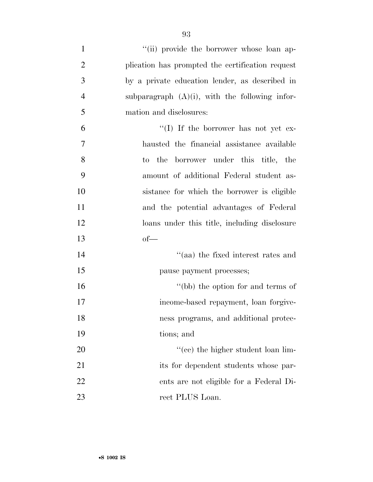| $\mathbf{1}$   | "(ii) provide the borrower whose loan ap-         |
|----------------|---------------------------------------------------|
| $\overline{2}$ | plication has prompted the certification request  |
| 3              | by a private education lender, as described in    |
| $\overline{4}$ | subparagraph $(A)(i)$ , with the following infor- |
| 5              | mation and disclosures:                           |
| 6              | "(I) If the borrower has not yet ex-              |
| 7              | hausted the financial assistance available        |
| 8              | to the borrower under this title, the             |
| 9              | amount of additional Federal student as-          |
| 10             | sistance for which the borrower is eligible       |
| 11             | and the potential advantages of Federal           |
| 12             | loans under this title, including disclosure      |
| 13             | $of$ —                                            |
| 14             | "(aa) the fixed interest rates and                |
| 15             | pause payment processes;                          |
| 16             | "(bb) the option for and terms of                 |
| 17             | income-based repayment, loan forgive-             |
| 18             | ness programs, and additional protec-             |
| 19             | tions; and                                        |
| 20             | "(cc) the higher student loan lim-                |
| 21             | its for dependent students whose par-             |
| 22             | ents are not eligible for a Federal Di-           |
| 23             | rect PLUS Loan.                                   |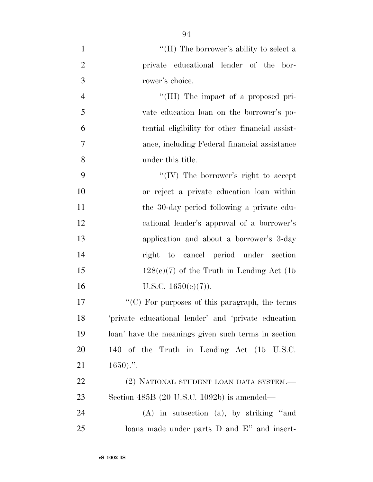$\langle (II)$  The borrower's ability to select a private educational lender of the bor- rower's choice.  $\frac{4}{\text{IIII}}$  The impact of a proposed pri- vate education loan on the borrower's po- tential eligibility for other financial assist- ance, including Federal financial assistance under this title. ''(IV) The borrower's right to accept or reject a private education loan within the 30-day period following a private edu- cational lender's approval of a borrower's application and about a borrower's 3-day right to cancel period under section 15 128(e)(7) of the Truth in Lending Act  $(15$ 16 U.S.C.  $1650(e)(7)$ . 17 <sup>"</sup>(C) For purposes of this paragraph, the terms 'private educational lender' and 'private education loan' have the meanings given such terms in section 140 of the Truth in Lending Act (15 U.S.C.  $21 \t1650$ .". 22 (2) NATIONAL STUDENT LOAN DATA SYSTEM.— Section 485B (20 U.S.C. 1092b) is amended— (A) in subsection (a), by striking ''and loans made under parts D and E'' and insert-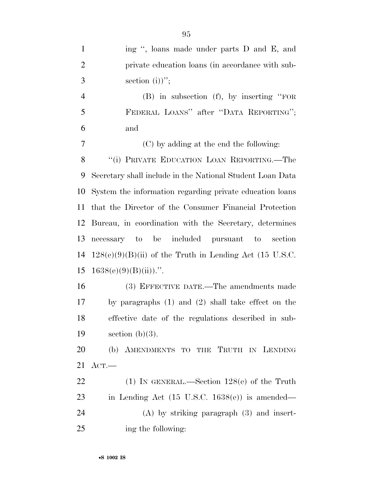| $\mathbf{1}$   | ing ", loans made under parts D and E, and                |
|----------------|-----------------------------------------------------------|
| $\overline{2}$ | private education loans (in accordance with sub-          |
| 3              | section (i))";                                            |
| $\overline{4}$ | $(B)$ in subsection $(f)$ , by inserting "FOR             |
| 5              | FEDERAL LOANS" after "DATA REPORTING";                    |
| 6              | and                                                       |
| 7              | (C) by adding at the end the following:                   |
| 8              | "(i) PRIVATE EDUCATION LOAN REPORTING.—The                |
| 9              | Secretary shall include in the National Student Loan Data |
| 10             | System the information regarding private education loans  |
| 11             | that the Director of the Consumer Financial Protection    |
| 12             | Bureau, in coordination with the Secretary, determines    |
| 13             | necessary to be included pursuant to section              |
| 14             | $128(e)(9)(B)(ii)$ of the Truth in Lending Act (15 U.S.C. |
| 15             | $1638(e)(9)(B)(ii))$ .".                                  |
| 16             | (3) EFFECTIVE DATE.—The amendments made                   |
| 17             | by paragraphs $(1)$ and $(2)$ shall take effect on the    |
| 18             | effective date of the regulations described in sub-       |
| 19             | section $(b)(3)$ .                                        |
| 20             | (b) AMENDMENTS TO THE TRUTH IN LENDING                    |
| 21             | ACT.                                                      |
| 22             | (1) IN GENERAL.—Section $128(e)$ of the Truth             |
| 23             | in Lending Act $(15 \text{ U.S.C. } 1638(e))$ is amended— |
| 24             | $(A)$ by striking paragraph $(3)$ and insert-             |
| 25             | ing the following:                                        |
|                |                                                           |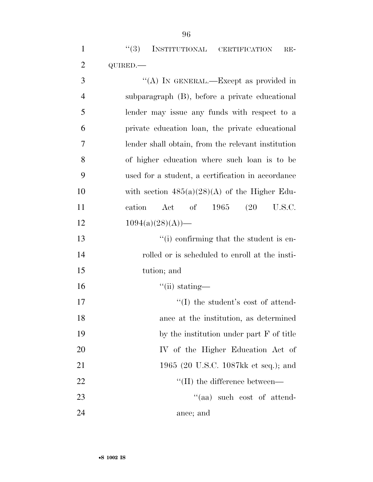| 3              | "(A) IN GENERAL.—Except as provided in             |
|----------------|----------------------------------------------------|
| $\overline{4}$ | subparagraph (B), before a private educational     |
| 5              | lender may issue any funds with respect to a       |
| 6              | private education loan, the private educational    |
| 7              | lender shall obtain, from the relevant institution |
| 8              | of higher education where such loan is to be       |
| 9              | used for a student, a certification in accordance  |
| 10             | with section $485(a)(28)(A)$ of the Higher Edu-    |
| 11             | of $1965$ $(20$<br>cation<br>Act<br>U.S.C.         |
| 12             | $1094(a)(28)(A)$ —                                 |
| 13             | $\lq\lq$ confirming that the student is en-        |
| 14             | rolled or is scheduled to enroll at the insti-     |
| 15             | tution; and                                        |
| 16             | $\lq$ <sup>"</sup> (ii) stating—                   |
| 17             | $\lq\lq$ the student's cost of attend-             |
| 18             | ance at the institution, as determined             |
| 19             | by the institution under part F of title           |
| 20             | IV of the Higher Education Act of                  |
| 21             | 1965 (20 U.S.C. 1087kk et seq.); and               |
| 22             | $\lq\lq$ (II) the difference between—              |
| 23             | "(aa) such cost of attend-                         |
| 24             | ance; and                                          |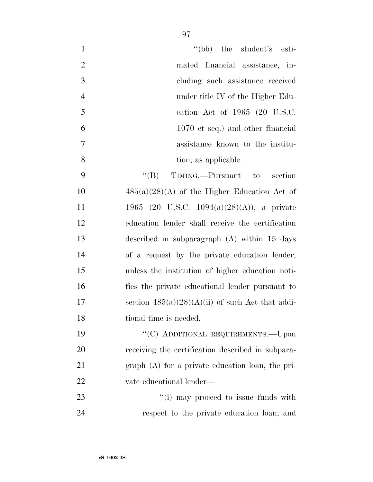1 ''(bb) the student's esti- mated financial assistance, in- cluding such assistance received under title IV of the Higher Edu- cation Act of 1965 (20 U.S.C. 1070 et seq.) and other financial assistance known to the institu-tion, as applicable.

9 "'(B) TIMING.—Pursuant to section  $485(a)(28)(A)$  of the Higher Education Act of 1965 (20 U.S.C. 1094(a)(28)(A)), a private education lender shall receive the certification described in subparagraph (A) within 15 days of a request by the private education lender, unless the institution of higher education noti- fies the private educational lender pursuant to 17 section  $485(a)(28)(A)(ii)$  of such Act that addi-18 tional time is needed.

19 "'(C) ADDITIONAL REQUIREMENTS.—Upon receiving the certification described in subpara- graph (A) for a private education loan, the pri-vate educational lender—

23  $\frac{1}{1}$  may proceed to issue funds with respect to the private education loan; and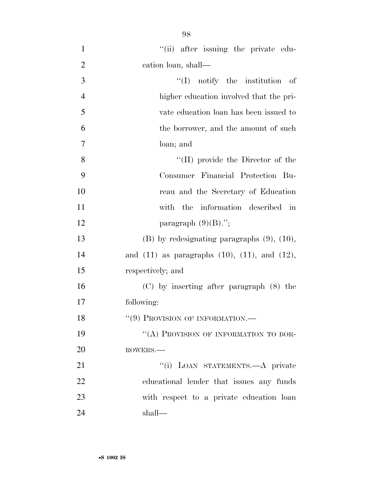$"$ (ii) after issuing the private edu- cation loan, shall— ''(I) notify the institution of higher education involved that the pri- vate education loan has been issued to the borrower, and the amount of such loan; and 8 ''(II) provide the Director of the Consumer Financial Protection Bu- reau and the Secretary of Education with the information described in 12 paragraph  $(9)(B)$ ."; (B) by redesignating paragraphs (9), (10), and (11) as paragraphs (10), (11), and (12), respectively; and (C) by inserting after paragraph (8) the following: 18 "(9) PROVISION OF INFORMATION.— 19 "(A) PROVISION OF INFORMATION TO BOR- ROWERS.— 21 "'(i) LOAN STATEMENTS.—A private educational lender that issues any funds with respect to a private education loan

•**S 1002 IS**

shall—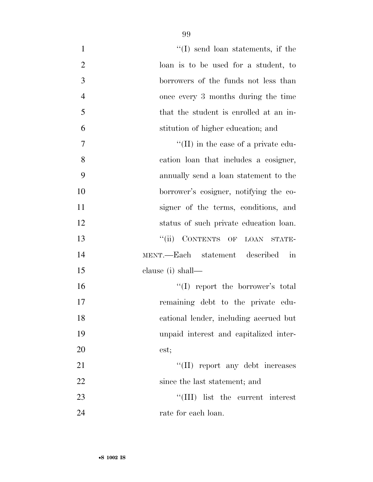| $\mathbf{1}$   | $\lq\lq$ send loan statements, if the                 |
|----------------|-------------------------------------------------------|
| $\overline{2}$ | loan is to be used for a student, to                  |
| 3              | borrowers of the funds not less than                  |
| $\overline{4}$ | once every 3 months during the time                   |
| 5              | that the student is enrolled at an in-                |
| 6              | stitution of higher education; and                    |
| 7              | "(II) in the case of a private edu-                   |
| 8              | cation loan that includes a cosigner,                 |
| 9              | annually send a loan statement to the                 |
| 10             | borrower's cosigner, notifying the co-                |
| 11             | signer of the terms, conditions, and                  |
| 12             | status of such private education loan.                |
| 13             | CONTENTS OF LOAN STATE-<br>``(ii)                     |
| 14             | MENT.—Each statement described<br>$\operatorname{in}$ |
| 15             | clause (i) shall-                                     |
| 16             | "(I) report the borrower's total                      |
| 17             | remaining debt to the private edu-                    |
| 18             | cational lender, including accrued but                |
| 19             | unpaid interest and capitalized inter-                |
| 20             | est;                                                  |
| 21             | "(II) report any debt increases                       |
| 22             | since the last statement; and                         |
| 23             | $\lq\lq$ (III) list the current interest              |
| 24             | rate for each loan.                                   |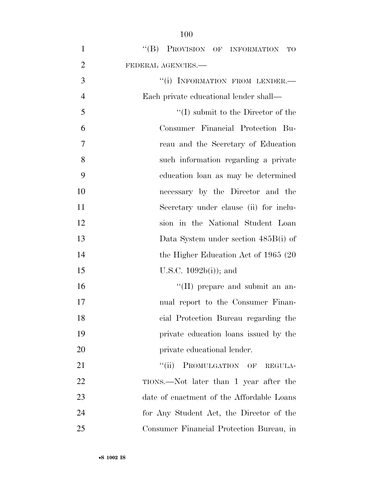| $\mathbf{1}$   | "(B) PROVISION OF INFORMATION TO          |
|----------------|-------------------------------------------|
| $\overline{2}$ | FEDERAL AGENCIES.-                        |
| 3              | "(i) INFORMATION FROM LENDER.-            |
| $\overline{4}$ | Each private educational lender shall—    |
| 5              | $\lq\lq$ submit to the Director of the    |
| 6              | Consumer Financial Protection Bu-         |
| 7              | reau and the Secretary of Education       |
| 8              | such information regarding a private      |
| 9              | education loan as may be determined       |
| 10             | necessary by the Director and the         |
| 11             | Secretary under clause (ii) for inclu-    |
| 12             | sion in the National Student Loan         |
| 13             | Data System under section 485B(i) of      |
| 14             | the Higher Education Act of $1965(20)$    |
| 15             | U.S.C. $1092b(i)$ ; and                   |
| 16             | $\lq\lq$ (II) prepare and submit an an-   |
| 17             | nual report to the Consumer Finan-        |
| 18             | cial Protection Bureau regarding the      |
| 19             | private education loans issued by the     |
| 20             | private educational lender.               |
| 21             | ``(ii)<br>PROMULGATION OF<br>REGULA-      |
| 22             | TIONS.—Not later than 1 year after the    |
| 23             | date of enactment of the Affordable Loans |
| 24             | for Any Student Act, the Director of the  |
| 25             | Consumer Financial Protection Bureau, in  |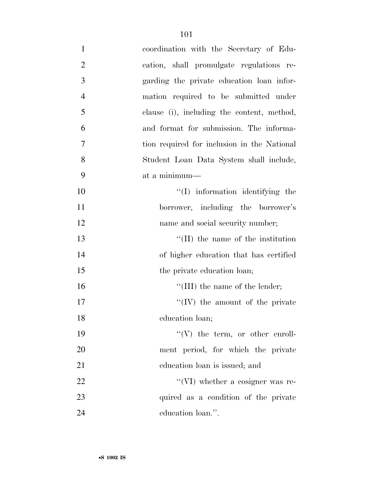| $\mathbf{1}$   | coordination with the Secretary of Edu-     |
|----------------|---------------------------------------------|
| $\overline{2}$ | cation, shall promulgate regulations re-    |
| 3              | garding the private education loan infor-   |
| $\overline{4}$ | mation required to be submitted under       |
| 5              | clause (i), including the content, method,  |
| 6              | and format for submission. The informa-     |
| 7              | tion required for inclusion in the National |
| 8              | Student Loan Data System shall include,     |
| 9              | at a minimum-                               |
| 10             | $\lq\lq$ information identifying the        |
| 11             | borrower, including the borrower's          |
| 12             | name and social security number;            |
| 13             | $\lq\lq$ (II) the name of the institution   |
| 14             | of higher education that has certified      |
| 15             | the private education loan;                 |
| 16             | "(III) the name of the lender;              |
| 17             | $\lq\lq (IV)$ the amount of the private     |
| 18             | education loan;                             |
| 19             | $\lq\lq(V)$ the term, or other enroll-      |
| $20\,$         | ment period, for which the private          |
| 21             | education loan is issued; and               |
| 22             | $\lq\lq$ (VI) whether a cosigner was re-    |
| 23             | quired as a condition of the private        |
| 24             | education loan.".                           |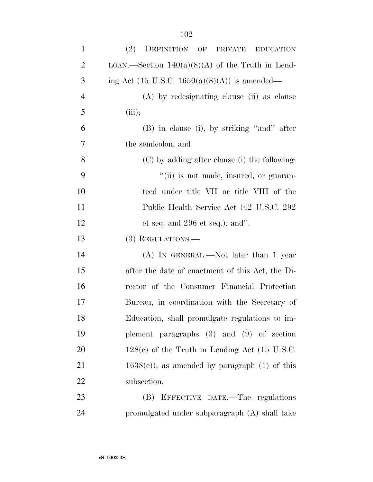| $\mathbf{1}$   | (2)<br>DEFINITION OF PRIVATE EDUCATION             |
|----------------|----------------------------------------------------|
| $\overline{2}$ | LOAN.—Section $140(a)(8)(A)$ of the Truth in Lend- |
| 3              | ing Act (15 U.S.C. 1650(a)(8)(A)) is amended—      |
| $\overline{4}$ | (A) by redesignating clause (ii) as clause         |
| 5              | (iii);                                             |
| 6              | (B) in clause (i), by striking "and" after         |
| 7              | the semicolon; and                                 |
| 8              | (C) by adding after clause (i) the following:      |
| 9              | "(ii) is not made, insured, or guaran-             |
| 10             | teed under title VII or title VIII of the          |
| 11             | Public Health Service Act (42 U.S.C. 292)          |
| 12             | et seq. and $296$ et seq.); and".                  |
| 13             | $(3)$ REGULATIONS.—                                |
| 14             | $(A)$ In GENERAL.—Not later than 1 year            |
| 15             | after the date of enactment of this Act, the Di-   |
| 16             | rector of the Consumer Financial Protection        |
| 17             | Bureau, in coordination with the Secretary of      |
| 18             | Education, shall promulgate regulations to im-     |
| 19             | plement paragraphs $(3)$ and $(9)$ of section      |
| 20             | $128(e)$ of the Truth in Lending Act (15 U.S.C.    |
| 21             | $1638(e)$ , as amended by paragraph (1) of this    |
| 22             | subsection.                                        |
| 23             | EFFECTIVE DATE.—The regulations<br>(B)             |
| 24             | promulgated under subparagraph (A) shall take      |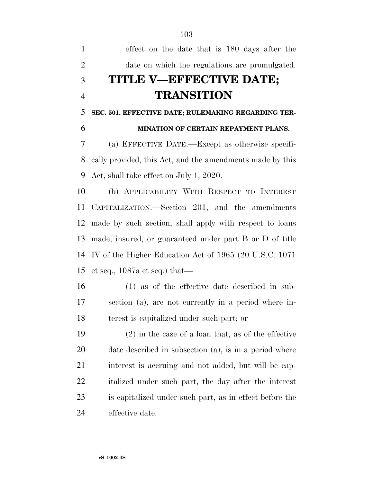effect on the date that is 180 days after the date on which the regulations are promulgated. **TITLE V—EFFECTIVE DATE; TRANSITION SEC. 501. EFFECTIVE DATE; RULEMAKING REGARDING TER- MINATION OF CERTAIN REPAYMENT PLANS.**  (a) EFFECTIVE DATE.—Except as otherwise specifi- cally provided, this Act, and the amendments made by this Act, shall take effect on July 1, 2020. (b) APPLICABILITY WITH RESPECT TO INTEREST CAPITALIZATION.—Section 201, and the amendments made by such section, shall apply with respect to loans made, insured, or guaranteed under part B or D of title IV of the Higher Education Act of 1965 (20 U.S.C. 1071 et seq., 1087a et seq.) that— (1) as of the effective date described in sub- section (a), are not currently in a period where in- terest is capitalized under such part; or (2) in the case of a loan that, as of the effective date described in subsection (a), is in a period where interest is accruing and not added, but will be cap- italized under such part, the day after the interest is capitalized under such part, as in effect before the effective date.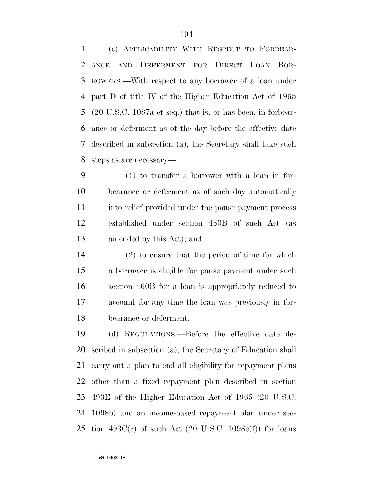(c) APPLICABILITY WITH RESPECT TO FORBEAR- ANCE AND DEFERMENT FOR DIRECT LOAN BOR- ROWERS.—With respect to any borrower of a loan under part D of title IV of the Higher Education Act of 1965 (20 U.S.C. 1087a et seq.) that is, or has been, in forbear- ance or deferment as of the day before the effective date described in subsection (a), the Secretary shall take such steps as are necessary—

 (1) to transfer a borrower with a loan in for- bearance or deferment as of such day automatically into relief provided under the pause payment process established under section 460B of such Act (as amended by this Act); and

 (2) to ensure that the period of time for which a borrower is eligible for pause payment under such section 460B for a loan is appropriately reduced to account for any time the loan was previously in for-bearance or deferment.

 (d) REGULATIONS.—Before the effective date de- scribed in subsection (a), the Secretary of Education shall carry out a plan to end all eligibility for repayment plans other than a fixed repayment plan described in section 493E of the Higher Education Act of 1965 (20 U.S.C. 1098b) and an income-based repayment plan under sec-25 tion  $493C(c)$  of such Act (20 U.S.C. 1098 $e(f)$ ) for loans